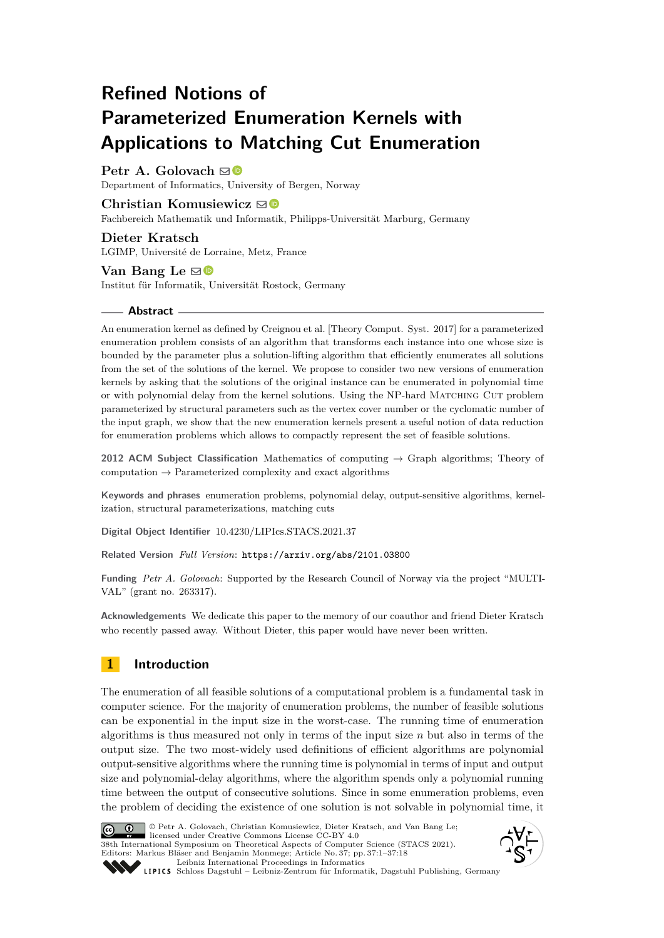# **Refined Notions of Parameterized Enumeration Kernels with Applications to Matching Cut Enumeration**

# **Petr A. Golovach**  $\mathbf{\mathbf{\otimes}}$  **■**

Department of Informatics, University of Bergen, Norway

## **Christian Komusiewicz** [!](mailto:komusiewicz@informatik.uni-marburg.de)

Fachbereich Mathematik und Informatik, Philipps-Universität Marburg, Germany

## **Dieter Kratsch** LGIMP, Université de Lorraine, Metz, France

## **Van Bang Le** ⊠<sup>®</sup>

Institut für Informatik, Universität Rostock, Germany

#### **Abstract**

An enumeration kernel as defined by Creignou et al. [Theory Comput. Syst. 2017] for a parameterized enumeration problem consists of an algorithm that transforms each instance into one whose size is bounded by the parameter plus a solution-lifting algorithm that efficiently enumerates all solutions from the set of the solutions of the kernel. We propose to consider two new versions of enumeration kernels by asking that the solutions of the original instance can be enumerated in polynomial time or with polynomial delay from the kernel solutions. Using the NP-hard Matching Cut problem parameterized by structural parameters such as the vertex cover number or the cyclomatic number of the input graph, we show that the new enumeration kernels present a useful notion of data reduction for enumeration problems which allows to compactly represent the set of feasible solutions.

**2012 ACM Subject Classification** Mathematics of computing → Graph algorithms; Theory of computation  $\rightarrow$  Parameterized complexity and exact algorithms

**Keywords and phrases** enumeration problems, polynomial delay, output-sensitive algorithms, kernelization, structural parameterizations, matching cuts

**Digital Object Identifier** [10.4230/LIPIcs.STACS.2021.37](https://doi.org/10.4230/LIPIcs.STACS.2021.37)

**Related Version** *Full Version*: <https://arxiv.org/abs/2101.03800>

**Funding** *Petr A. Golovach*: Supported by the Research Council of Norway via the project "MULTI-VAL" (grant no. 263317).

**Acknowledgements** We dedicate this paper to the memory of our coauthor and friend Dieter Kratsch who recently passed away. Without Dieter, this paper would have never been written.

# **1 Introduction**

The enumeration of all feasible solutions of a computational problem is a fundamental task in computer science. For the majority of enumeration problems, the number of feasible solutions can be exponential in the input size in the worst-case. The running time of enumeration algorithms is thus measured not only in terms of the input size *n* but also in terms of the output size. The two most-widely used definitions of efficient algorithms are polynomial output-sensitive algorithms where the running time is polynomial in terms of input and output size and polynomial-delay algorithms, where the algorithm spends only a polynomial running time between the output of consecutive solutions. Since in some enumeration problems, even the problem of deciding the existence of one solution is not solvable in polynomial time, it



© Petr A. Golovach, Christian Komusiewicz, Dieter Kratsch, and Van Bang Le; licensed under Creative Commons License CC-BY 4.0 38th International Symposium on Theoretical Aspects of Computer Science (STACS 2021). Editors: Markus Bläser and Benjamin Monmege; Article No. 37; pp. 37:1–37:18



[Leibniz International Proceedings in Informatics](https://www.dagstuhl.de/lipics/) Leibniz international Floretungs in missimosische Publishing, Germany<br>LIPICS [Schloss Dagstuhl – Leibniz-Zentrum für Informatik, Dagstuhl Publishing, Germany](https://www.dagstuhl.de)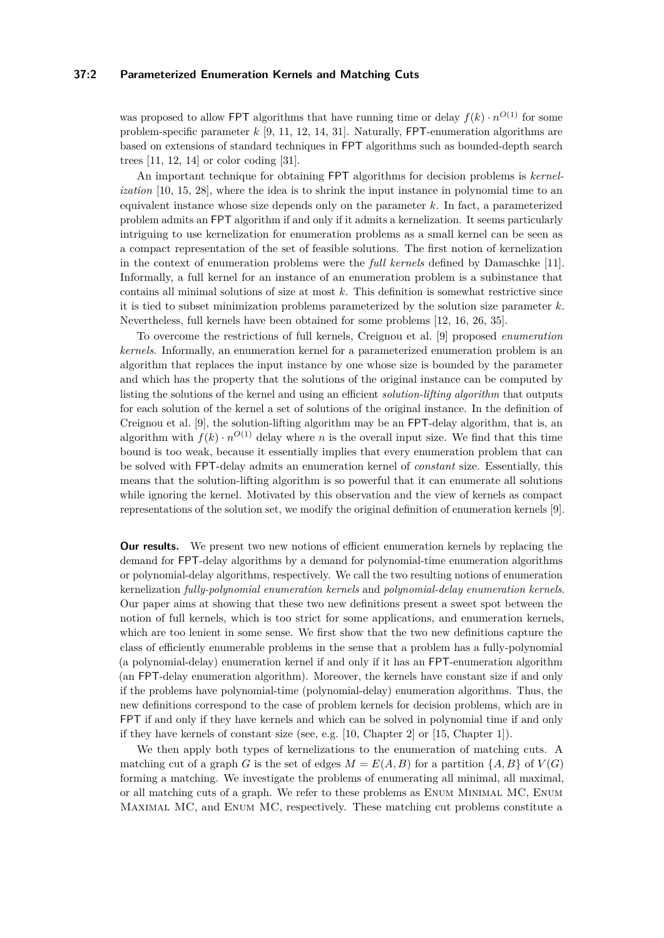## **37:2 Parameterized Enumeration Kernels and Matching Cuts**

was proposed to allow FPT algorithms that have running time or delay  $f(k) \cdot n^{O(1)}$  for some problem-specific parameter *k* [\[9,](#page-16-0) [11,](#page-16-1) [12,](#page-16-2) [14,](#page-16-3) [31\]](#page-17-0). Naturally, FPT-enumeration algorithms are based on extensions of standard techniques in FPT algorithms such as bounded-depth search trees [\[11,](#page-16-1) [12,](#page-16-2) [14\]](#page-16-3) or color coding [\[31\]](#page-17-0).

An important technique for obtaining FPT algorithms for decision problems is *kernelization* [\[10,](#page-16-4) [15,](#page-16-5) [28\]](#page-17-1), where the idea is to shrink the input instance in polynomial time to an equivalent instance whose size depends only on the parameter *k*. In fact, a parameterized problem admits an FPT algorithm if and only if it admits a kernelization. It seems particularly intriguing to use kernelization for enumeration problems as a small kernel can be seen as a compact representation of the set of feasible solutions. The first notion of kernelization in the context of enumeration problems were the *full kernels* defined by Damaschke [\[11\]](#page-16-1). Informally, a full kernel for an instance of an enumeration problem is a subinstance that contains all minimal solutions of size at most *k*. This definition is somewhat restrictive since it is tied to subset minimization problems parameterized by the solution size parameter *k*. Nevertheless, full kernels have been obtained for some problems [\[12,](#page-16-2) [16,](#page-16-6) [26,](#page-17-2) [35\]](#page-17-3).

To overcome the restrictions of full kernels, Creignou et al. [\[9\]](#page-16-0) proposed *enumeration kernels*. Informally, an enumeration kernel for a parameterized enumeration problem is an algorithm that replaces the input instance by one whose size is bounded by the parameter and which has the property that the solutions of the original instance can be computed by listing the solutions of the kernel and using an efficient *solution-lifting algorithm* that outputs for each solution of the kernel a set of solutions of the original instance. In the definition of Creignou et al. [\[9\]](#page-16-0), the solution-lifting algorithm may be an FPT-delay algorithm, that is, an algorithm with  $f(k) \cdot n^{O(1)}$  delay where *n* is the overall input size. We find that this time bound is too weak, because it essentially implies that every enumeration problem that can be solved with FPT-delay admits an enumeration kernel of *constant* size. Essentially, this means that the solution-lifting algorithm is so powerful that it can enumerate all solutions while ignoring the kernel. Motivated by this observation and the view of kernels as compact representations of the solution set, we modify the original definition of enumeration kernels [\[9\]](#page-16-0).

**Our results.** We present two new notions of efficient enumeration kernels by replacing the demand for FPT-delay algorithms by a demand for polynomial-time enumeration algorithms or polynomial-delay algorithms, respectively. We call the two resulting notions of enumeration kernelization *fully-polynomial enumeration kernels* and *polynomial-delay enumeration kernels*. Our paper aims at showing that these two new definitions present a sweet spot between the notion of full kernels, which is too strict for some applications, and enumeration kernels, which are too lenient in some sense. We first show that the two new definitions capture the class of efficiently enumerable problems in the sense that a problem has a fully-polynomial (a polynomial-delay) enumeration kernel if and only if it has an FPT-enumeration algorithm (an FPT-delay enumeration algorithm). Moreover, the kernels have constant size if and only if the problems have polynomial-time (polynomial-delay) enumeration algorithms. Thus, the new definitions correspond to the case of problem kernels for decision problems, which are in FPT if and only if they have kernels and which can be solved in polynomial time if and only if they have kernels of constant size (see, e.g.  $[10, Chapter 2]$  $[10, Chapter 2]$  or  $[15, Chapter 1]$  $[15, Chapter 1]$ ).

We then apply both types of kernelizations to the enumeration of matching cuts. A matching cut of a graph *G* is the set of edges  $M = E(A, B)$  for a partition  $\{A, B\}$  of  $V(G)$ forming a matching. We investigate the problems of enumerating all minimal, all maximal, or all matching cuts of a graph. We refer to these problems as Enum Minimal MC, Enum Maximal MC, and Enum MC, respectively. These matching cut problems constitute a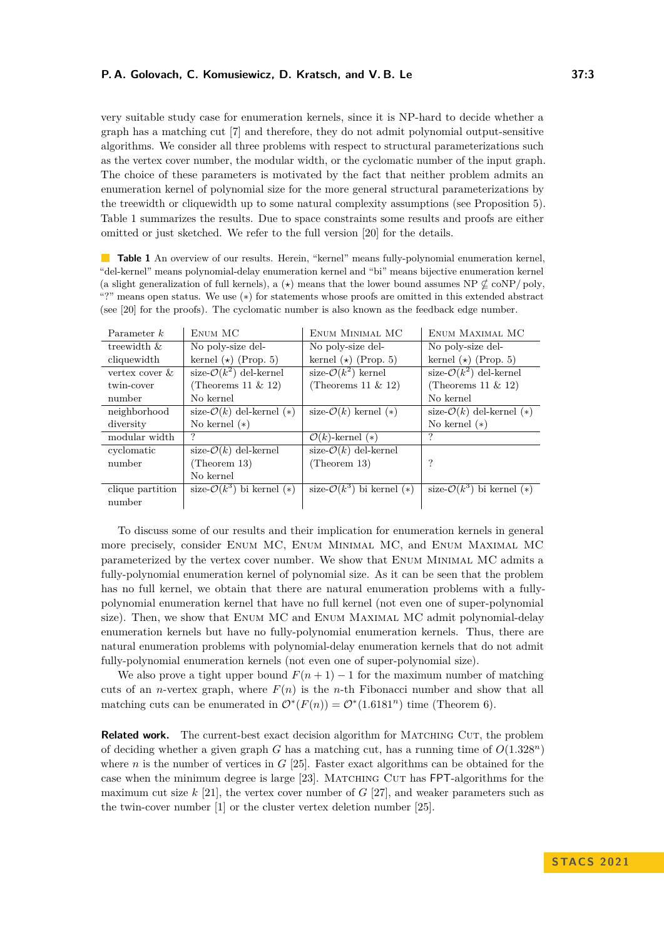very suitable study case for enumeration kernels, since it is NP-hard to decide whether a graph has a matching cut [\[7\]](#page-16-7) and therefore, they do not admit polynomial output-sensitive algorithms. We consider all three problems with respect to structural parameterizations such as the vertex cover number, the modular width, or the cyclomatic number of the input graph. The choice of these parameters is motivated by the fact that neither problem admits an enumeration kernel of polynomial size for the more general structural parameterizations by the treewidth or cliquewidth up to some natural complexity assumptions (see Proposition [5\)](#page-7-0). Table [1](#page-2-0) summarizes the results. Due to space constraints some results and proofs are either omitted or just sketched. We refer to the full version [\[20\]](#page-16-8) for the details.

<span id="page-2-0"></span>**Table 1** An overview of our results. Herein, "kernel" means fully-polynomial enumeration kernel, "del-kernel" means polynomial-delay enumeration kernel and "bi" means bijective enumeration kernel (a slight generalization of full kernels), a  $(\star)$  means that the lower bound assumes NP  $\nsubseteq$  coNP/ poly, "?" means open status. We use (∗) for statements whose proofs are omitted in this extended abstract (see [\[20\]](#page-16-8) for the proofs). The cyclomatic number is also known as the feedback edge number.

| Parameter $k$     | ENUM MC                                | ENUM MINIMAL MC                        | ENUM MAXIMAL MC                         |
|-------------------|----------------------------------------|----------------------------------------|-----------------------------------------|
| treewidth $\&$    | No poly-size del-                      | No poly-size del-                      | No poly-size del-                       |
| cliquewidth       | kernel $(\star)$ (Prop. 5)             | kernel $(\star)$ (Prop. 5)             | kernel $(\star)$ (Prop. 5)              |
| vertex cover $\&$ | size- $\mathcal{O}(k^2)$ del-kernel    | size- $\mathcal{O}(k^2)$ kernel        | size- $\mathcal{O}(k^2)$ del-kernel     |
| twin-cover        | (Theorems 11 $\&$ 12)                  | (Theorems 11 $\&$ 12)                  | (Theorems 11 $\&$ 12)                   |
| number            | No kernel                              |                                        | No kernel                               |
| neighborhood      | size- $\mathcal{O}(k)$ del-kernel (*)  | size- $\mathcal{O}(k)$ kernel $(*)$    | size- $\mathcal{O}(k)$ del-kernel $(*)$ |
| diversity         | No kernel $(*)$                        |                                        | No kernel $(*)$                         |
| modular width     |                                        | $\mathcal{O}(k)$ -kernel (*)           | ?                                       |
| cyclomatic        | size- $\mathcal{O}(k)$ del-kernel      | size- $\mathcal{O}(k)$ del-kernel      |                                         |
| number            | (Theorem $13$ )                        | (Theorem $13$ )                        | ?                                       |
|                   | No kernel                              |                                        |                                         |
| clique partition  | size- $\mathcal{O}(k^3)$ bi kernel (*) | size- $\mathcal{O}(k^3)$ bi kernel (*) | size- $\mathcal{O}(k^3)$ bi kernel (*)  |
| number            |                                        |                                        |                                         |

To discuss some of our results and their implication for enumeration kernels in general more precisely, consider Enum MC, Enum Minimal MC, and Enum Maximal MC parameterized by the vertex cover number. We show that Enum Minimal MC admits a fully-polynomial enumeration kernel of polynomial size. As it can be seen that the problem has no full kernel, we obtain that there are natural enumeration problems with a fullypolynomial enumeration kernel that have no full kernel (not even one of super-polynomial size). Then, we show that Enum MC and Enum Maximal MC admit polynomial-delay enumeration kernels but have no fully-polynomial enumeration kernels. Thus, there are natural enumeration problems with polynomial-delay enumeration kernels that do not admit fully-polynomial enumeration kernels (not even one of super-polynomial size).

We also prove a tight upper bound  $F(n+1) - 1$  for the maximum number of matching cuts of an *n*-vertex graph, where  $F(n)$  is the *n*-th Fibonacci number and show that all matching cuts can be enumerated in  $\mathcal{O}^*(F(n)) = \mathcal{O}^*(1.6181^n)$  time (Theorem [6\)](#page-7-1).

**Related work.** The current-best exact decision algorithm for MATCHING CUT, the problem of deciding whether a given graph *G* has a matching cut, has a running time of  $O(1.328^n)$ where *n* is the number of vertices in  $G$  [\[25\]](#page-17-4). Faster exact algorithms can be obtained for the case when the minimum degree is large [\[23\]](#page-16-9). Matching Cut has FPT-algorithms for the maximum cut size  $k$  [\[21\]](#page-16-10), the vertex cover number of  $G$  [\[27\]](#page-17-5), and weaker parameters such as the twin-cover number [\[1\]](#page-15-0) or the cluster vertex deletion number [\[25\]](#page-17-4).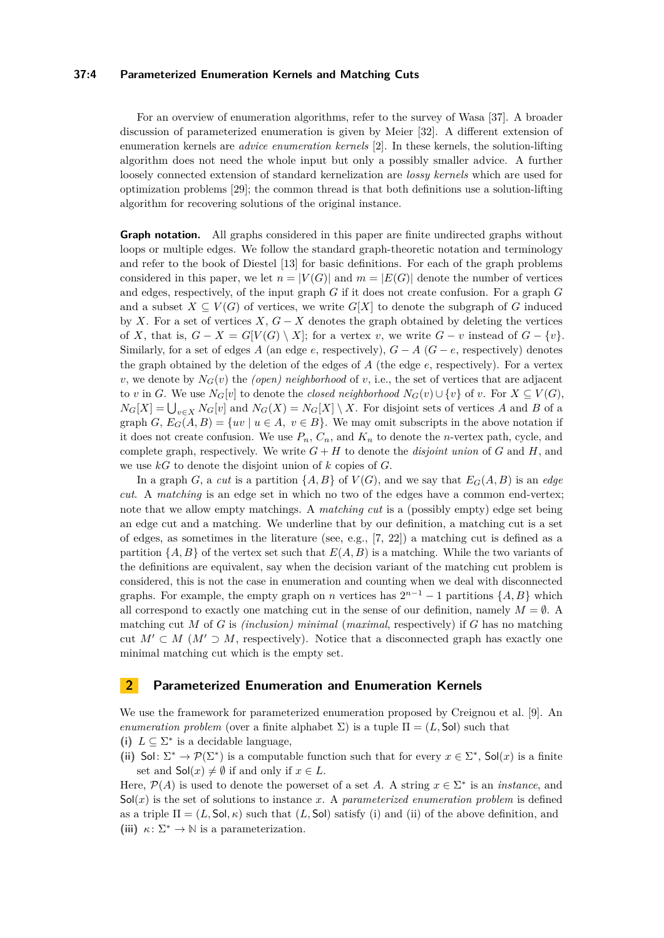## **37:4 Parameterized Enumeration Kernels and Matching Cuts**

For an overview of enumeration algorithms, refer to the survey of Wasa [\[37\]](#page-17-6). A broader discussion of parameterized enumeration is given by Meier [\[32\]](#page-17-7). A different extension of enumeration kernels are *advice enumeration kernels* [\[2\]](#page-15-1). In these kernels, the solution-lifting algorithm does not need the whole input but only a possibly smaller advice. A further loosely connected extension of standard kernelization are *lossy kernels* which are used for optimization problems [\[29\]](#page-17-8); the common thread is that both definitions use a solution-lifting algorithm for recovering solutions of the original instance.

**Graph notation.** All graphs considered in this paper are finite undirected graphs without loops or multiple edges. We follow the standard graph-theoretic notation and terminology and refer to the book of Diestel [\[13\]](#page-16-11) for basic definitions. For each of the graph problems considered in this paper, we let  $n = |V(G)|$  and  $m = |E(G)|$  denote the number of vertices and edges, respectively, of the input graph *G* if it does not create confusion. For a graph *G* and a subset  $X \subseteq V(G)$  of vertices, we write  $G[X]$  to denote the subgraph of G induced by *X*. For a set of vertices *X*,  $G - X$  denotes the graph obtained by deleting the vertices of *X*, that is,  $G - X = G[V(G) \setminus X]$ ; for a vertex *v*, we write  $G - v$  instead of  $G - \{v\}$ . Similarly, for a set of edges *A* (an edge *e*, respectively),  $G - A$  ( $G - e$ , respectively) denotes the graph obtained by the deletion of the edges of *A* (the edge *e*, respectively). For a vertex *v*, we denote by  $N_G(v)$  the *(open) neighborhood* of *v*, i.e., the set of vertices that are adjacent to *v* in *G*. We use  $N_G[v]$  to denote the *closed neighborhood*  $N_G(v) \cup \{v\}$  of *v*. For  $X \subseteq V(G)$ ,  $N_G[X] = \bigcup_{v \in X} N_G[v]$  and  $N_G(X) = N_G[X] \setminus X$ . For disjoint sets of vertices *A* and *B* of a graph *G*,  $E_G(A, B) = \{uv \mid u \in A, v \in B\}$ . We may omit subscripts in the above notation if it does not create confusion. We use  $P_n$ ,  $C_n$ , and  $K_n$  to denote the *n*-vertex path, cycle, and complete graph, respectively. We write  $G + H$  to denote the *disjoint union* of  $G$  and  $H$ , and we use *kG* to denote the disjoint union of *k* copies of *G*.

In a graph *G*, a *cut* is a partition  $\{A, B\}$  of  $V(G)$ , and we say that  $E_G(A, B)$  is an *edge cut*. A *matching* is an edge set in which no two of the edges have a common end-vertex; note that we allow empty matchings. A *matching cut* is a (possibly empty) edge set being an edge cut and a matching. We underline that by our definition, a matching cut is a set of edges, as sometimes in the literature (see, e.g., [\[7,](#page-16-7) [22\]](#page-16-12)) a matching cut is defined as a partition  $\{A, B\}$  of the vertex set such that  $E(A, B)$  is a matching. While the two variants of the definitions are equivalent, say when the decision variant of the matching cut problem is considered, this is not the case in enumeration and counting when we deal with disconnected graphs. For example, the empty graph on *n* vertices has  $2^{n-1} - 1$  partitions  $\{A, B\}$  which all correspond to exactly one matching cut in the sense of our definition, namely  $M = \emptyset$ . matching cut *M* of *G* is *(inclusion) minimal* (*maximal*, respectively) if *G* has no matching cut  $M' \subset M$  ( $M' \supset M$ , respectively). Notice that a disconnected graph has exactly one minimal matching cut which is the empty set.

## **2 Parameterized Enumeration and Enumeration Kernels**

We use the framework for parameterized enumeration proposed by Creignou et al. [\[9\]](#page-16-0). An *enumeration problem* (over a finite alphabet  $\Sigma$ ) is a tuple  $\Pi = (L, \text{Sol})$  such that (i)  $L \subseteq \Sigma^*$  is a decidable language,

- 
- (ii) Sol:  $\Sigma^* \to \mathcal{P}(\Sigma^*)$  is a computable function such that for every  $x \in \Sigma^*$ , Sol(*x*) is a finite set and  $\mathsf{Sol}(x) \neq \emptyset$  if and only if  $x \in L$ .

Here,  $\mathcal{P}(A)$  is used to denote the powerset of a set A. A string  $x \in \Sigma^*$  is an *instance*, and  $Sol(x)$  is the set of solutions to instance x. A *parameterized enumeration problem* is defined as a triple  $\Pi = (L, \text{Sol}, \kappa)$  such that  $(L, \text{Sol})$  satisfy (i) and (ii) of the above definition, and (iii)  $\kappa: \Sigma^* \to \mathbb{N}$  is a parameterization.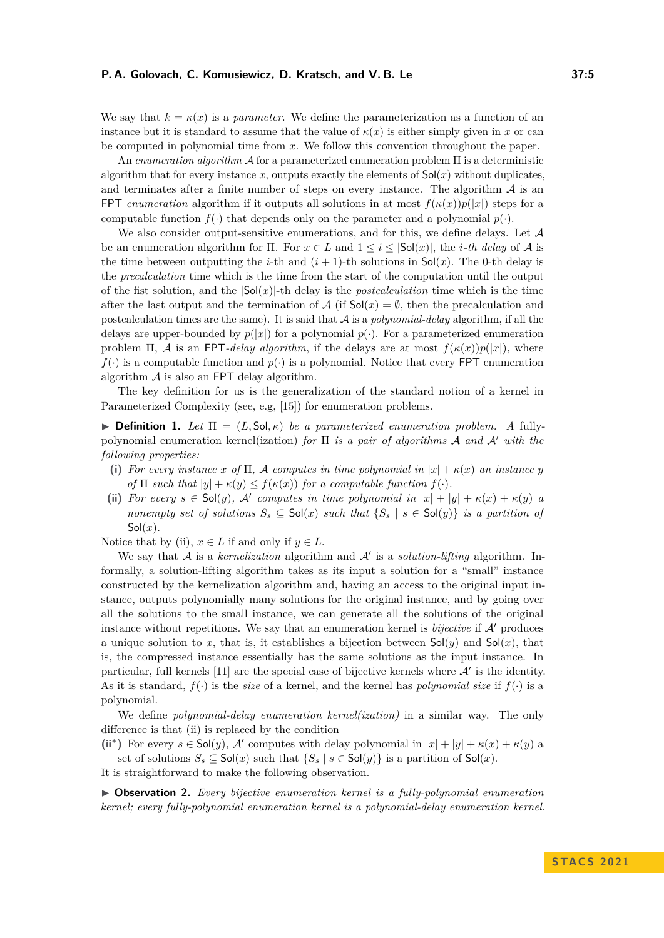We say that  $k = \kappa(x)$  is a *parameter*. We define the parameterization as a function of an instance but it is standard to assume that the value of  $\kappa(x)$  is either simply given in x or can be computed in polynomial time from *x*. We follow this convention throughout the paper.

An *enumeration algorithm* A for a parameterized enumeration problem Π is a deterministic algorithm that for every instance  $x$ , outputs exactly the elements of  $\mathsf{Sol}(x)$  without duplicates, and terminates after a finite number of steps on every instance. The algorithm  $A$  is an FPT *enumeration* algorithm if it outputs all solutions in at most  $f(\kappa(x))p(|x|)$  steps for a computable function  $f(\cdot)$  that depends only on the parameter and a polynomial  $p(\cdot)$ .

We also consider output-sensitive enumerations, and for this, we define delays. Let  $A$ be an enumeration algorithm for  $\Pi$ . For  $x \in L$  and  $1 \leq i \leq |\mathsf{Sol}(x)|$ , the *i*-th delay of A is the time between outputting the *i*-th and  $(i + 1)$ -th solutions in Sol(*x*). The 0-th delay is the *precalculation* time which is the time from the start of the computation until the output of the fist solution, and the |Sol(*x*)|-th delay is the *postcalculation* time which is the time after the last output and the termination of A (if  $\text{Sol}(x) = \emptyset$ , then the precalculation and postcalculation times are the same). It is said that A is a *polynomial-delay* algorithm, if all the delays are upper-bounded by  $p(|x|)$  for a polynomial  $p(.)$ . For a parameterized enumeration problem  $\Pi$ , A is an FPT*-delay algorithm*, if the delays are at most  $f(\kappa(x))p(|x|)$ , where  $f(\cdot)$  is a computable function and  $p(\cdot)$  is a polynomial. Notice that every FPT enumeration algorithm  $A$  is also an FPT delay algorithm.

The key definition for us is the generalization of the standard notion of a kernel in Parameterized Complexity (see, e.g, [\[15\]](#page-16-5)) for enumeration problems.

**• Definition 1.** Let  $\Pi = (L, \text{Sol}, \kappa)$  be a parameterized enumeration problem. A fullypolynomial enumeration kernel(ization) *for* Π *is a pair of algorithms* A *and* A′ *with the following properties:*

- **(i)** For every instance x of  $\Pi$ , A computes in time polynomial in  $|x| + \kappa(x)$  an instance y *of*  $\Pi$  *such that*  $|y| + \kappa(y) \leq f(\kappa(x))$  *for a computable function*  $f(\cdot)$ *.*
- (ii) *For every*  $s \in Sol(y)$ , A' computes in time polynomial in  $|x| + |y| + \kappa(x) + \kappa(y)$  *a nonempty set of solutions*  $S_s \subseteq Sol(x)$  *such that*  $\{S_s \mid s \in Sol(y)\}$  *is a partition of*  $Sol(x)$ .

Notice that by (ii),  $x \in L$  if and only if  $y \in L$ .

We say that A is a *kernelization* algorithm and A' is a *solution-lifting* algorithm. Informally, a solution-lifting algorithm takes as its input a solution for a "small" instance constructed by the kernelization algorithm and, having an access to the original input instance, outputs polynomially many solutions for the original instance, and by going over all the solutions to the small instance, we can generate all the solutions of the original instance without repetitions. We say that an enumeration kernel is *bijective* if A′ produces a unique solution to x, that is, it establishes a bijection between  $\mathsf{Sol}(y)$  and  $\mathsf{Sol}(x)$ , that is, the compressed instance essentially has the same solutions as the input instance. In particular, full kernels  $[11]$  are the special case of bijective kernels where  $A'$  is the identity. As it is standard,  $f(\cdot)$  is the *size* of a kernel, and the kernel has *polynomial size* if  $f(\cdot)$  is a polynomial.

We define *polynomial-delay enumeration kernel(ization)* in a similar way. The only difference is that (ii) is replaced by the condition

(ii<sup>\*</sup>) For every  $s \in Sol(y)$ , A' computes with delay polynomial in  $|x| + |y| + \kappa(x) + \kappa(y)$  a set of solutions  $S_s \subseteq Sol(x)$  such that  $\{S_s \mid s \in Sol(y)\}$  is a partition of  $Sol(x)$ .

It is straightforward to make the following observation.

▶ **Observation 2.** *Every bijective enumeration kernel is a fully-polynomial enumeration kernel; every fully-polynomial enumeration kernel is a polynomial-delay enumeration kernel.*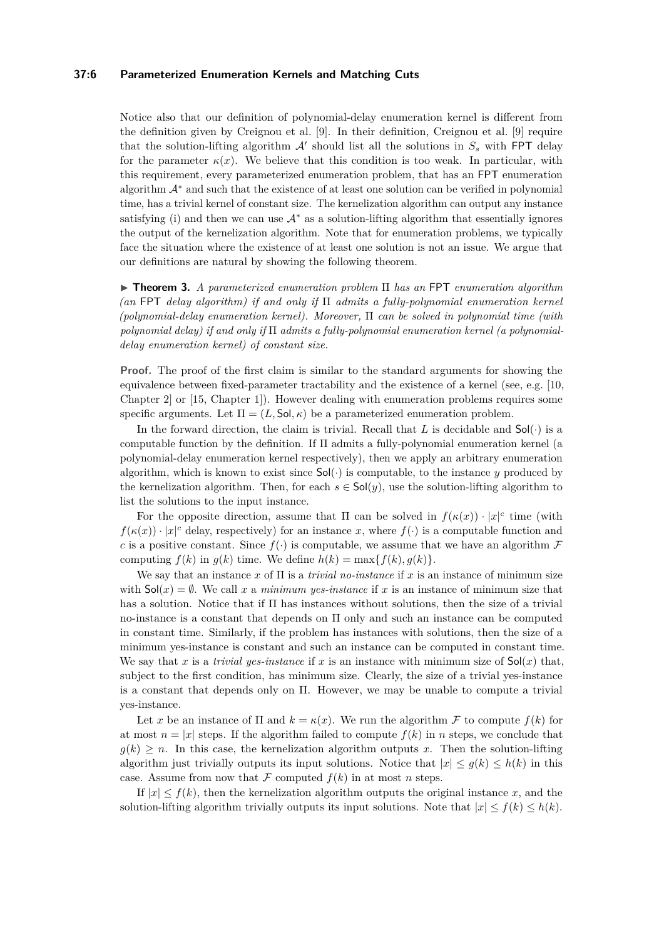## **37:6 Parameterized Enumeration Kernels and Matching Cuts**

Notice also that our definition of polynomial-delay enumeration kernel is different from the definition given by Creignou et al. [\[9\]](#page-16-0). In their definition, Creignou et al. [\[9\]](#page-16-0) require that the solution-lifting algorithm  $\mathcal{A}'$  should list all the solutions in  $S_s$  with FPT delay for the parameter  $\kappa(x)$ . We believe that this condition is too weak. In particular, with this requirement, every parameterized enumeration problem, that has an FPT enumeration algorithm A<sup>∗</sup> and such that the existence of at least one solution can be verified in polynomial time, has a trivial kernel of constant size. The kernelization algorithm can output any instance satisfying (i) and then we can use  $A^*$  as a solution-lifting algorithm that essentially ignores the output of the kernelization algorithm. Note that for enumeration problems, we typically face the situation where the existence of at least one solution is not an issue. We argue that our definitions are natural by showing the following theorem.

<span id="page-5-0"></span>▶ **Theorem 3.** *A parameterized enumeration problem* Π *has an* FPT *enumeration algorithm (an* FPT *delay algorithm) if and only if* Π *admits a fully-polynomial enumeration kernel (polynomial-delay enumeration kernel). Moreover,* Π *can be solved in polynomial time (with polynomial delay) if and only if* Π *admits a fully-polynomial enumeration kernel (a polynomialdelay enumeration kernel) of constant size.*

Proof. The proof of the first claim is similar to the standard arguments for showing the equivalence between fixed-parameter tractability and the existence of a kernel (see, e.g. [\[10,](#page-16-4) Chapter 2] or [\[15,](#page-16-5) Chapter 1]). However dealing with enumeration problems requires some specific arguments. Let  $\Pi = (L, \text{Sol}, \kappa)$  be a parameterized enumeration problem.

In the forward direction, the claim is trivial. Recall that L is decidable and  $\mathsf{Sol}(\cdot)$  is a computable function by the definition. If  $\Pi$  admits a fully-polynomial enumeration kernel (a polynomial-delay enumeration kernel respectively), then we apply an arbitrary enumeration algorithm, which is known to exist since  $Sol(\cdot)$  is computable, to the instance *y* produced by the kernelization algorithm. Then, for each  $s \in Sol(y)$ , use the solution-lifting algorithm to list the solutions to the input instance.

For the opposite direction, assume that  $\Pi$  can be solved in  $f(\kappa(x)) \cdot |x|^c$  time (with  $f(\kappa(x)) \cdot |x|^c$  delay, respectively) for an instance *x*, where  $f(\cdot)$  is a computable function and *c* is a positive constant. Since  $f(\cdot)$  is computable, we assume that we have an algorithm  $\mathcal F$ computing  $f(k)$  in  $g(k)$  time. We define  $h(k) = \max\{f(k), g(k)\}.$ 

We say that an instance x of  $\Pi$  is a *trivial no-instance* if x is an instance of minimum size with  $\mathsf{Sol}(x) = \emptyset$ . We call x a *minimum yes-instance* if x is an instance of minimum size that has a solution. Notice that if Π has instances without solutions, then the size of a trivial no-instance is a constant that depends on Π only and such an instance can be computed in constant time. Similarly, if the problem has instances with solutions, then the size of a minimum yes-instance is constant and such an instance can be computed in constant time. We say that *x* is a *trivial yes-instance* if *x* is an instance with minimum size of  $\text{Sol}(x)$  that, subject to the first condition, has minimum size. Clearly, the size of a trivial yes-instance is a constant that depends only on  $\Pi$ . However, we may be unable to compute a trivial yes-instance.

Let *x* be an instance of  $\Pi$  and  $k = \kappa(x)$ . We run the algorithm F to compute  $f(k)$  for at most  $n = |x|$  steps. If the algorithm failed to compute  $f(k)$  in *n* steps, we conclude that  $g(k) \geq n$ . In this case, the kernelization algorithm outputs x. Then the solution-lifting algorithm just trivially outputs its input solutions. Notice that  $|x| \leq g(k) \leq h(k)$  in this case. Assume from now that  $\mathcal F$  computed  $f(k)$  in at most *n* steps.

If  $|x| \leq f(k)$ , then the kernelization algorithm outputs the original instance *x*, and the solution-lifting algorithm trivially outputs its input solutions. Note that  $|x| \le f(k) \le h(k)$ .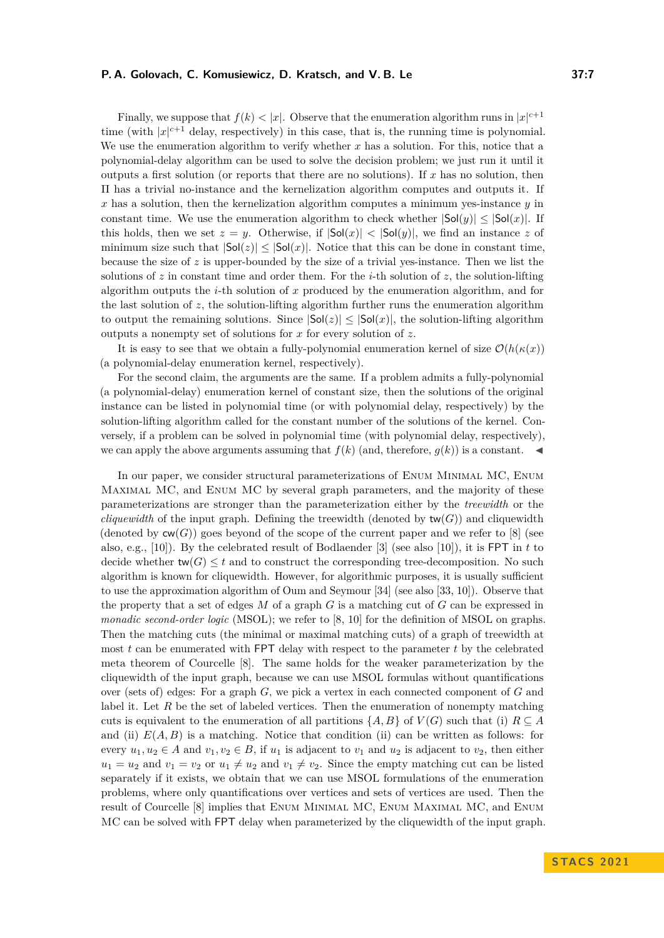#### **P. A. Golovach, C. Komusiewicz, D. Kratsch, and V. B. Le 37:7**

Finally, we suppose that  $f(k) < |x|$ . Observe that the enumeration algorithm runs in  $|x|^{c+1}$ time (with  $|x|^{c+1}$  delay, respectively) in this case, that is, the running time is polynomial. We use the enumeration algorithm to verify whether x has a solution. For this, notice that a polynomial-delay algorithm can be used to solve the decision problem; we just run it until it outputs a first solution (or reports that there are no solutions). If *x* has no solution, then Π has a trivial no-instance and the kernelization algorithm computes and outputs it. If *x* has a solution, then the kernelization algorithm computes a minimum yes-instance *y* in constant time. We use the enumeration algorithm to check whether  $|Sol(y)| \le |Sol(x)|$ . If this holds, then we set  $z = y$ . Otherwise, if  $|Sol(x)| < |Sol(y)|$ , we find an instance z of minimum size such that  $|\textsf{Sol}(z)| \leq |\textsf{Sol}(x)|$ . Notice that this can be done in constant time, because the size of *z* is upper-bounded by the size of a trivial yes-instance. Then we list the solutions of  $z$  in constant time and order them. For the *i*-th solution of  $z$ , the solution-lifting algorithm outputs the *i*-th solution of *x* produced by the enumeration algorithm, and for the last solution of  $z$ , the solution-lifting algorithm further runs the enumeration algorithm to output the remaining solutions. Since  $|\text{Sol}(z)| \leq |\text{Sol}(x)|$ , the solution-lifting algorithm outputs a nonempty set of solutions for *x* for every solution of *z*.

It is easy to see that we obtain a fully-polynomial enumeration kernel of size  $\mathcal{O}(h(\kappa(x)))$ (a polynomial-delay enumeration kernel, respectively).

For the second claim, the arguments are the same. If a problem admits a fully-polynomial (a polynomial-delay) enumeration kernel of constant size, then the solutions of the original instance can be listed in polynomial time (or with polynomial delay, respectively) by the solution-lifting algorithm called for the constant number of the solutions of the kernel. Conversely, if a problem can be solved in polynomial time (with polynomial delay, respectively), we can apply the above arguments assuming that  $f(k)$  (and, therefore,  $g(k)$ ) is a constant.

In our paper, we consider structural parameterizations of Enum Minimal MC, Enum Maximal MC, and Enum MC by several graph parameters, and the majority of these parameterizations are stronger than the parameterization either by the *treewidth* or the *cliquewidth* of the input graph. Defining the treewidth (denoted by  $tw(G)$ ) and cliquewidth (denoted by  $\mathsf{cw}(G)$ ) goes beyond of the scope of the current paper and we refer to [\[8\]](#page-16-13) (see also, e.g.,  $[10]$ ). By the celebrated result of Bodlaender  $[3]$  (see also  $[10]$ ), it is FPT in *t* to decide whether  $tw(G) \leq t$  and to construct the corresponding tree-decomposition. No such algorithm is known for cliquewidth. However, for algorithmic purposes, it is usually sufficient to use the approximation algorithm of Oum and Seymour [\[34\]](#page-17-9) (see also [\[33,](#page-17-10) [10\]](#page-16-4)). Observe that the property that a set of edges *M* of a graph *G* is a matching cut of *G* can be expressed in *monadic second-order logic* (MSOL); we refer to [\[8,](#page-16-13) [10\]](#page-16-4) for the definition of MSOL on graphs. Then the matching cuts (the minimal or maximal matching cuts) of a graph of treewidth at most *t* can be enumerated with FPT delay with respect to the parameter *t* by the celebrated meta theorem of Courcelle [\[8\]](#page-16-13). The same holds for the weaker parameterization by the cliquewidth of the input graph, because we can use MSOL formulas without quantifications over (sets of) edges: For a graph *G*, we pick a vertex in each connected component of *G* and label it. Let R be the set of labeled vertices. Then the enumeration of nonempty matching cuts is equivalent to the enumeration of all partitions  $\{A, B\}$  of  $V(G)$  such that (i)  $R \subseteq A$ and (ii)  $E(A, B)$  is a matching. Notice that condition (ii) can be written as follows: for every  $u_1, u_2 \in A$  and  $v_1, v_2 \in B$ , if  $u_1$  is adjacent to  $v_1$  and  $u_2$  is adjacent to  $v_2$ , then either  $u_1 = u_2$  and  $v_1 = v_2$  or  $u_1 \neq u_2$  and  $v_1 \neq v_2$ . Since the empty matching cut can be listed separately if it exists, we obtain that we can use MSOL formulations of the enumeration problems, where only quantifications over vertices and sets of vertices are used. Then the result of Courcelle [\[8\]](#page-16-13) implies that Enum Minimal MC, Enum Maximal MC, and Enum MC can be solved with FPT delay when parameterized by the cliquewidth of the input graph.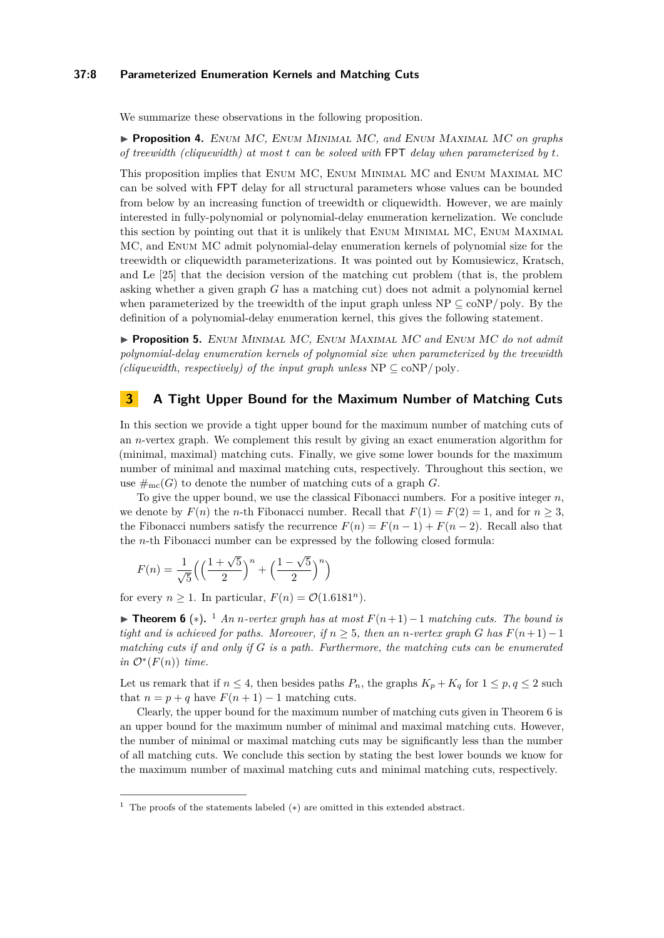## **37:8 Parameterized Enumeration Kernels and Matching Cuts**

We summarize these observations in the following proposition.

<span id="page-7-3"></span>▶ **Proposition 4.** Enum MC*,* Enum Minimal MC*, and* Enum Maximal MC *on graphs of treewidth (cliquewidth) at most t can be solved with* FPT *delay when parameterized by t.*

This proposition implies that Enum MC, Enum Minimal MC and Enum Maximal MC can be solved with FPT delay for all structural parameters whose values can be bounded from below by an increasing function of treewidth or cliquewidth. However, we are mainly interested in fully-polynomial or polynomial-delay enumeration kernelization. We conclude this section by pointing out that it is unlikely that Enum Minimal MC, Enum Maximal MC, and Enum MC admit polynomial-delay enumeration kernels of polynomial size for the treewidth or cliquewidth parameterizations. It was pointed out by Komusiewicz, Kratsch, and Le [\[25\]](#page-17-4) that the decision version of the matching cut problem (that is, the problem asking whether a given graph *G* has a matching cut) does not admit a polynomial kernel when parameterized by the treewidth of the input graph unless  $NP \subseteq \text{coNP}/\text{poly}$ . By the definition of a polynomial-delay enumeration kernel, this gives the following statement.

<span id="page-7-0"></span>▶ **Proposition 5.** Enum Minimal MC*,* Enum Maximal MC *and* Enum MC *do not admit polynomial-delay enumeration kernels of polynomial size when parameterized by the treewidth (cliquewidth, respectively) of the input graph unless*  $NP \subseteq \text{coNP}/\text{poly}$ .

## **3 A Tight Upper Bound for the Maximum Number of Matching Cuts**

In this section we provide a tight upper bound for the maximum number of matching cuts of an *n*-vertex graph. We complement this result by giving an exact enumeration algorithm for (minimal, maximal) matching cuts. Finally, we give some lower bounds for the maximum number of minimal and maximal matching cuts, respectively. Throughout this section, we use  $\#_{mc}(G)$  to denote the number of matching cuts of a graph *G*.

To give the upper bound, we use the classical Fibonacci numbers. For a positive integer *n*, we denote by  $F(n)$  the *n*-th Fibonacci number. Recall that  $F(1) = F(2) = 1$ , and for  $n \geq 3$ , the Fibonacci numbers satisfy the recurrence  $F(n) = F(n-1) + F(n-2)$ . Recall also that the *n*-th Fibonacci number can be expressed by the following closed formula:

$$
F(n) = \frac{1}{\sqrt{5}} \left( \left( \frac{1 + \sqrt{5}}{2} \right)^n + \left( \frac{1 - \sqrt{5}}{2} \right)^n \right)
$$

for every  $n \geq 1$ . In particular,  $F(n) = \mathcal{O}(1.6181^n)$ .

<span id="page-7-1"></span>▶ **Theorem 6** (\*). <sup>[1](#page-7-2)</sup> *An n-vertex graph has at most*  $F(n+1)-1$  *matching cuts. The bound is tight and is achieved for paths. Moreover, if*  $n \geq 5$ *, then an n*-vertex graph *G* has  $F(n+1)-1$ *matching cuts if and only if G is a path. Furthermore, the matching cuts can be enumerated*  $in \mathcal{O}^*(F(n))$  *time.* 

Let us remark that if  $n \leq 4$ , then besides paths  $P_n$ , the graphs  $K_p + K_q$  for  $1 \leq p, q \leq 2$  such that  $n = p + q$  have  $F(n + 1) - 1$  matching cuts.

Clearly, the upper bound for the maximum number of matching cuts given in Theorem [6](#page-7-1) is an upper bound for the maximum number of minimal and maximal matching cuts. However, the number of minimal or maximal matching cuts may be significantly less than the number of all matching cuts. We conclude this section by stating the best lower bounds we know for the maximum number of maximal matching cuts and minimal matching cuts, respectively.

<span id="page-7-4"></span><span id="page-7-2"></span><sup>&</sup>lt;sup>1</sup> The proofs of the statements labeled  $(*)$  are omitted in this extended abstract.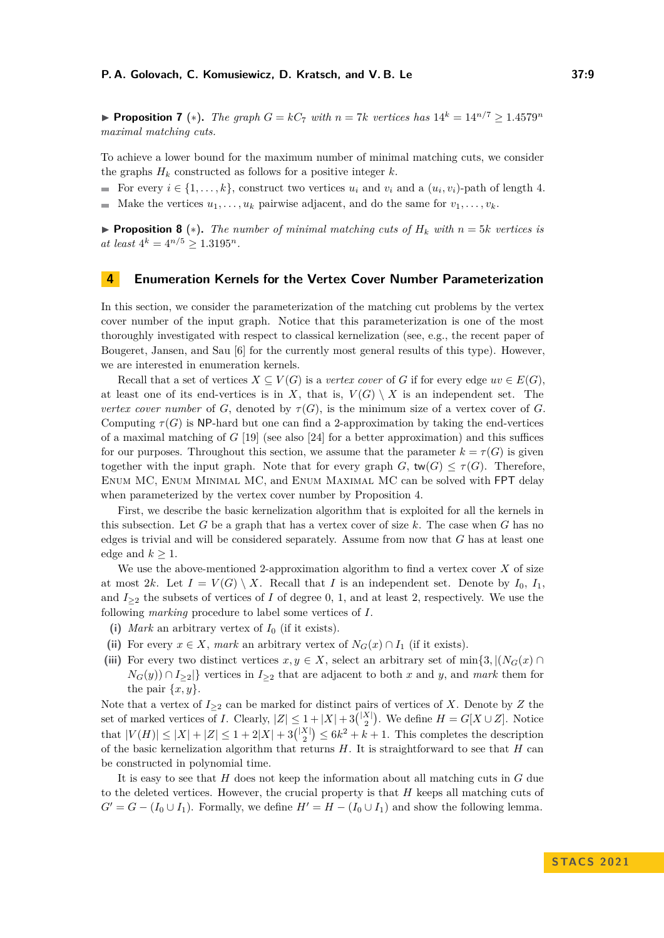▶ **Proposition 7** (\*). *The graph*  $G = kC_7$  *with*  $n = 7k$  *vertices has*  $14^k = 14^{n/7} \ge 1.4579^n$ *maximal matching cuts.*

To achieve a lower bound for the maximum number of minimal matching cuts, we consider the graphs  $H_k$  constructed as follows for a positive integer  $k$ .

For every  $i \in \{1, \ldots, k\}$ , construct two vertices  $u_i$  and  $v_i$  and a  $(u_i, v_i)$ -path of length 4.

<span id="page-8-0"></span> $\blacksquare$  Make the vertices  $u_1, \ldots, u_k$  pairwise adjacent, and do the same for  $v_1, \ldots, v_k$ .

▶ **Proposition 8** ( $*$ ). The number of minimal matching cuts of  $H_k$  with  $n = 5k$  vertices is  $at$   $least$   $4^k = 4^{n/5} \geq 1.3195^n$ .

## **4 Enumeration Kernels for the Vertex Cover Number Parameterization**

In this section, we consider the parameterization of the matching cut problems by the vertex cover number of the input graph. Notice that this parameterization is one of the most thoroughly investigated with respect to classical kernelization (see, e.g., the recent paper of Bougeret, Jansen, and Sau [\[6\]](#page-16-14) for the currently most general results of this type). However, we are interested in enumeration kernels.

Recall that a set of vertices  $X \subseteq V(G)$  is a *vertex cover* of *G* if for every edge  $uv \in E(G)$ , at least one of its end-vertices is in *X*, that is,  $V(G) \setminus X$  is an independent set. The *vertex cover number* of *G*, denoted by  $\tau(G)$ , is the minimum size of a vertex cover of *G*. Computing  $\tau(G)$  is NP-hard but one can find a 2-approximation by taking the end-vertices of a maximal matching of *G* [\[19\]](#page-16-15) (see also [\[24\]](#page-17-11) for a better approximation) and this suffices for our purposes. Throughout this section, we assume that the parameter  $k = \tau(G)$  is given together with the input graph. Note that for every graph  $G$ ,  $tw(G) \leq \tau(G)$ . Therefore, Enum MC, Enum Minimal MC, and Enum Maximal MC can be solved with FPT delay when parameterized by the vertex cover number by Proposition [4.](#page-7-3)

First, we describe the basic kernelization algorithm that is exploited for all the kernels in this subsection. Let *G* be a graph that has a vertex cover of size *k*. The case when *G* has no edges is trivial and will be considered separately. Assume from now that *G* has at least one edge and  $k \geq 1$ .

We use the above-mentioned 2-approximation algorithm to find a vertex cover *X* of size at most 2*k*. Let  $I = V(G) \setminus X$ . Recall that *I* is an independent set. Denote by  $I_0$ ,  $I_1$ , and  $I_{\geq 2}$  the subsets of vertices of *I* of degree 0, 1, and at least 2, respectively. We use the following *marking* procedure to label some vertices of *I*.

- **(i)** *Mark* an arbitrary vertex of *I*<sup>0</sup> (if it exists).
- (ii) For every  $x \in X$ , *mark* an arbitrary vertex of  $N_G(x) \cap I_1$  (if it exists).
- (iii) For every two distinct vertices  $x, y \in X$ , select an arbitrary set of min $\{3, |(N_G(x) \cap X)|\}$  $N_G(y)$  ∩ *I*<sub>≥2</sub> } vertices in *I*<sub>≥2</sub> that are adjacent to both *x* and *y*, and *mark* them for the pair  $\{x, y\}$ .

Note that a vertex of  $I_{\geq 2}$  can be marked for distinct pairs of vertices of *X*. Denote by *Z* the set of marked vertices of *I*. Clearly,  $|Z| \leq 1 + |X| + 3\binom{|X|}{2}$ . We define  $H = G[X \cup Z]$ . Notice that  $|V(H)| \leq |X| + |Z| \leq 1 + 2|X| + 3\binom{|X|}{2} \leq 6k^2 + k + 1$ . This completes the description of the basic kernelization algorithm that returns *H*. It is straightforward to see that *H* can be constructed in polynomial time.

It is easy to see that *H* does not keep the information about all matching cuts in *G* due to the deleted vertices. However, the crucial property is that *H* keeps all matching cuts of  $G' = G - (I_0 \cup I_1)$ . Formally, we define  $H' = H - (I_0 \cup I_1)$  and show the following lemma.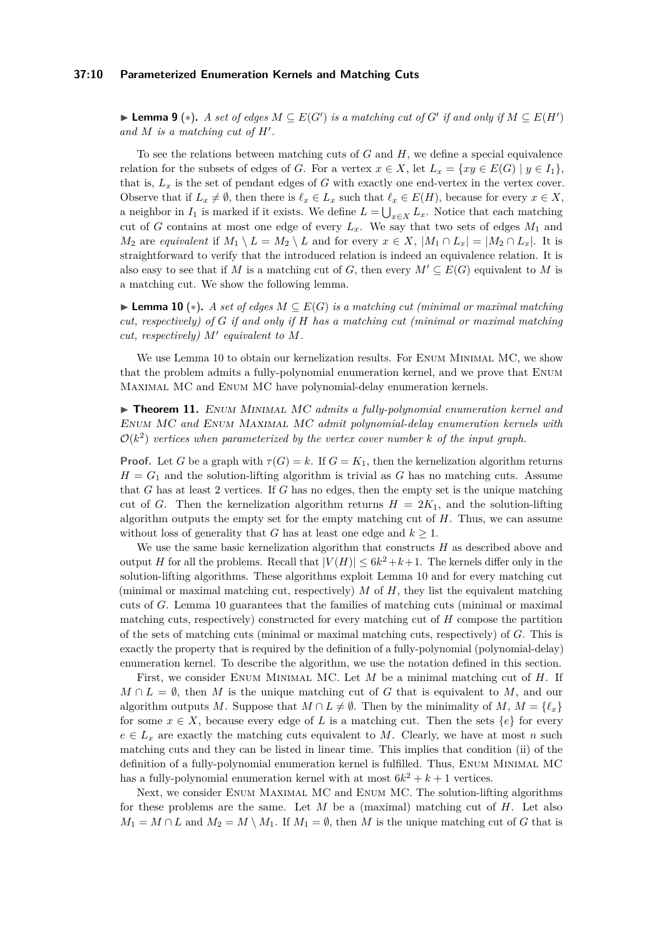#### **37:10 Parameterized Enumeration Kernels and Matching Cuts**

▶ **Lemma 9** (\*). *A set of edges*  $M \subseteq E(G')$  *is a matching cut of*  $G'$  *if and only if*  $M \subseteq E(H')$ *and M is a matching cut of H*′ *.*

To see the relations between matching cuts of *G* and *H*, we define a special equivalence relation for the subsets of edges of *G*. For a vertex  $x \in X$ , let  $L_x = \{xy \in E(G) \mid y \in I_1\}$ , that is,  $L_x$  is the set of pendant edges of *G* with exactly one end-vertex in the vertex cover. Observe that if  $L_x \neq \emptyset$ , then there is  $\ell_x \in L_x$  such that  $\ell_x \in E(H)$ , because for every  $x \in X$ , a neighbor in  $I_1$  is marked if it exists. We define  $L = \bigcup_{x \in X} L_x$ . Notice that each matching cut of *G* contains at most one edge of every  $L_x$ . We say that two sets of edges  $M_1$  and *M*<sub>2</sub> are *equivalent* if  $M_1 \setminus L = M_2 \setminus L$  and for every  $x \in X$ ,  $|M_1 \cap L_x| = |M_2 \cap L_x|$ . It is straightforward to verify that the introduced relation is indeed an equivalence relation. It is also easy to see that if *M* is a matching cut of *G*, then every  $M' \subseteq E(G)$  equivalent to *M* is a matching cut. We show the following lemma.

<span id="page-9-1"></span>▶ **Lemma 10** (∗)**.** *A set of edges M* ⊆ *E*(*G*) *is a matching cut (minimal or maximal matching cut, respectively) of G if and only if H has a matching cut (minimal or maximal matching cut, respectively) M*′ *equivalent to M.*

We use Lemma [10](#page-9-1) to obtain our kernelization results. For ENUM MINIMAL MC, we show that the problem admits a fully-polynomial enumeration kernel, and we prove that Enum Maximal MC and Enum MC have polynomial-delay enumeration kernels.

<span id="page-9-0"></span>▶ **Theorem 11.** Enum Minimal MC *admits a fully-polynomial enumeration kernel and* Enum MC *and* Enum Maximal MC *admit polynomial-delay enumeration kernels with*  $\mathcal{O}(k^2)$  vertices when parameterized by the vertex cover number  $k$  of the input graph.

**Proof.** Let *G* be a graph with  $\tau(G) = k$ . If  $G = K_1$ , then the kernelization algorithm returns  $H = G_1$  and the solution-lifting algorithm is trivial as *G* has no matching cuts. Assume that *G* has at least 2 vertices. If *G* has no edges, then the empty set is the unique matching cut of *G*. Then the kernelization algorithm returns  $H = 2K_1$ , and the solution-lifting algorithm outputs the empty set for the empty matching cut of *H*. Thus, we can assume without loss of generality that *G* has at least one edge and  $k \geq 1$ .

We use the same basic kernelization algorithm that constructs *H* as described above and output *H* for all the problems. Recall that  $|V(H)| \leq 6k^2 + k + 1$ . The kernels differ only in the solution-lifting algorithms. These algorithms exploit Lemma [10](#page-9-1) and for every matching cut (minimal or maximal matching cut, respectively) *M* of *H*, they list the equivalent matching cuts of *G*. Lemma [10](#page-9-1) guarantees that the families of matching cuts (minimal or maximal matching cuts, respectively) constructed for every matching cut of *H* compose the partition of the sets of matching cuts (minimal or maximal matching cuts, respectively) of *G*. This is exactly the property that is required by the definition of a fully-polynomial (polynomial-delay) enumeration kernel. To describe the algorithm, we use the notation defined in this section.

First, we consider Enum Minimal MC. Let *M* be a minimal matching cut of *H*. If  $M \cap L = \emptyset$ , then *M* is the unique matching cut of *G* that is equivalent to *M*, and our algorithm outputs *M*. Suppose that  $M \cap L \neq \emptyset$ . Then by the minimality of  $M, M = \{\ell_x\}$ for some  $x \in X$ , because every edge of L is a matching cut. Then the sets  $\{e\}$  for every  $e \in L_x$  are exactly the matching cuts equivalent to *M*. Clearly, we have at most *n* such matching cuts and they can be listed in linear time. This implies that condition (ii) of the definition of a fully-polynomial enumeration kernel is fulfilled. Thus, ENUM MINIMAL MC has a fully-polynomial enumeration kernel with at most  $6k^2 + k + 1$  vertices.

Next, we consider Enum Maximal MC and Enum MC. The solution-lifting algorithms for these problems are the same. Let *M* be a (maximal) matching cut of *H*. Let also  $M_1 = M \cap L$  and  $M_2 = M \setminus M_1$ . If  $M_1 = \emptyset$ , then *M* is the unique matching cut of *G* that is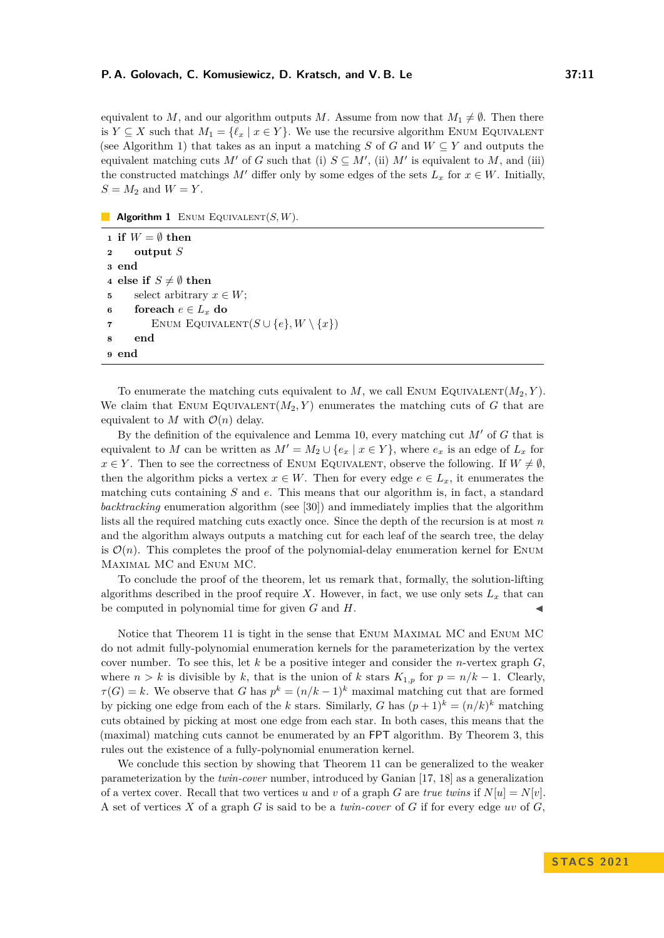equivalent to *M*, and our algorithm outputs *M*. Assume from now that  $M_1 \neq \emptyset$ . Then there is *Y*  $\subseteq$  *X* such that  $M_1 = \{ \ell_x \mid x \in Y \}$ . We use the recursive algorithm ENUM EQUIVALENT (see Algorithm [1\)](#page-10-0) that takes as an input a matching *S* of *G* and  $W \subseteq Y$  and outputs the equivalent matching cuts  $M'$  of *G* such that (i)  $S \subseteq M'$ , (ii)  $M'$  is equivalent to  $M$ , and (iii) the constructed matchings *M'* differ only by some edges of the sets  $L_x$  for  $x \in W$ . Initially,  $S = M_2$  and  $W = Y$ .

**Algorithm 1** ENUM EQUIVALENT $(S, W)$ .

<span id="page-10-0"></span>**1 if**  $W = \emptyset$  **then <sup>2</sup> output** *S* **3 end 4 else if**  $S \neq \emptyset$  **then 5** select arbitrary  $x \in W$ ; **6 foreach**  $e \in L_x$  **do 7** ENUM EQUIVALENT $(S \cup \{e\}, W \setminus \{x\})$ **8 end 9 end**

To enumerate the matching cuts equivalent to  $M$ , we call ENUM EQUIVALENT $(M_2, Y)$ . We claim that ENUM EQUIVALENT $(M_2, Y)$  enumerates the matching cuts of G that are equivalent to  $M$  with  $\mathcal{O}(n)$  delay.

By the definition of the equivalence and Lemma [10,](#page-9-1) every matching cut *M*′ of *G* that is equivalent to *M* can be written as  $M' = M_2 \cup \{e_x \mid x \in Y\}$ , where  $e_x$  is an edge of  $L_x$  for  $x \in Y$ . Then to see the correctness of ENUM EQUIVALENT, observe the following. If  $W \neq \emptyset$ , then the algorithm picks a vertex  $x \in W$ . Then for every edge  $e \in L_x$ , it enumerates the matching cuts containing *S* and *e*. This means that our algorithm is, in fact, a standard *backtracking* enumeration algorithm (see [\[30\]](#page-17-12)) and immediately implies that the algorithm lists all the required matching cuts exactly once. Since the depth of the recursion is at most *n* and the algorithm always outputs a matching cut for each leaf of the search tree, the delay is  $\mathcal{O}(n)$ . This completes the proof of the polynomial-delay enumeration kernel for ENUM Maximal MC and Enum MC.

To conclude the proof of the theorem, let us remark that, formally, the solution-lifting algorithms described in the proof require X. However, in fact, we use only sets  $L_x$  that can be computed in polynomial time for given  $G$  and  $H$ .

Notice that Theorem [11](#page-9-0) is tight in the sense that Enum Maximal MC and Enum MC do not admit fully-polynomial enumeration kernels for the parameterization by the vertex cover number. To see this, let *k* be a positive integer and consider the *n*-vertex graph *G*, where  $n > k$  is divisible by k, that is the union of k stars  $K_{1,p}$  for  $p = n/k - 1$ . Clearly,  $\tau(G) = k$ . We observe that *G* has  $p^k = (n/k - 1)^k$  maximal matching cut that are formed by picking one edge from each of the *k* stars. Similarly, *G* has  $(p+1)^k = (n/k)^k$  matching cuts obtained by picking at most one edge from each star. In both cases, this means that the (maximal) matching cuts cannot be enumerated by an FPT algorithm. By Theorem [3,](#page-5-0) this rules out the existence of a fully-polynomial enumeration kernel.

We conclude this section by showing that Theorem [11](#page-9-0) can be generalized to the weaker parameterization by the *twin-cover* number, introduced by Ganian [\[17,](#page-16-16) [18\]](#page-16-17) as a generalization of a vertex cover. Recall that two vertices *u* and *v* of a graph *G* are *true twins* if  $N[u] = N[v]$ . A set of vertices *X* of a graph *G* is said to be a *twin-cover* of *G* if for every edge *uv* of *G*,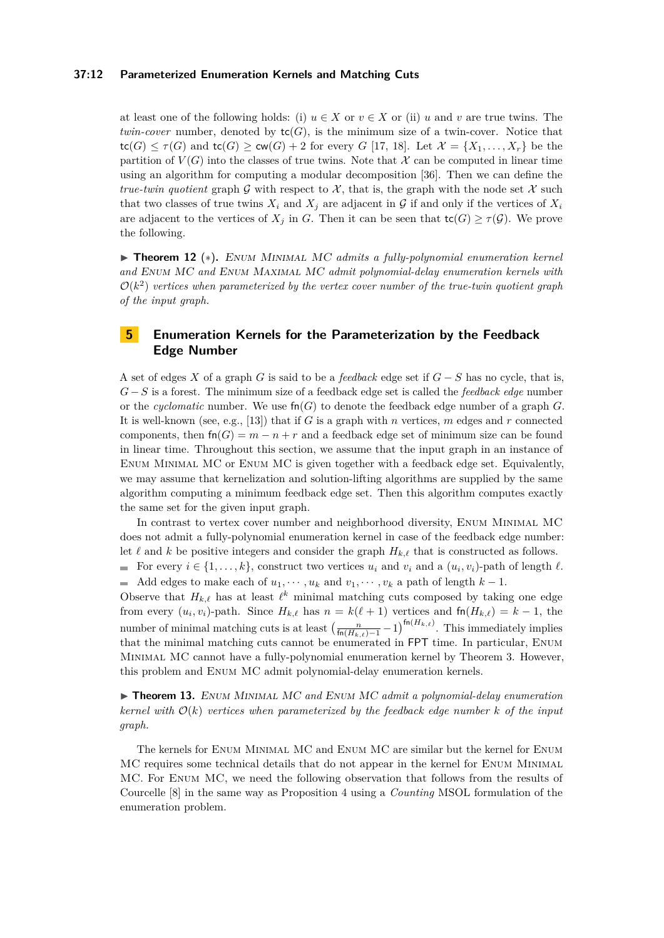#### **37:12 Parameterized Enumeration Kernels and Matching Cuts**

at least one of the following holds: (i)  $u \in X$  or  $v \in X$  or (ii)  $u$  and  $v$  are true twins. The *twin-cover* number, denoted by  $tc(G)$ , is the minimum size of a twin-cover. Notice that  $\text{tc}(G) \leq \tau(G)$  and  $\text{tc}(G) \geq \text{cw}(G) + 2$  for every *G* [\[17,](#page-16-16) [18\]](#page-16-17). Let  $\mathcal{X} = \{X_1, \ldots, X_r\}$  be the partition of  $V(G)$  into the classes of true twins. Note that X can be computed in linear time using an algorithm for computing a modular decomposition [\[36\]](#page-17-13). Then we can define the *true-twin quotient* graph G with respect to  $\mathcal{X}$ , that is, the graph with the node set  $\mathcal{X}$  such that two classes of true twins  $X_i$  and  $X_j$  are adjacent in  $\mathcal G$  if and only if the vertices of  $X_i$ are adjacent to the vertices of  $X_j$  in *G*. Then it can be seen that  $\text{tc}(G) \geq \tau(G)$ . We prove the following.

<span id="page-11-0"></span>▶ **Theorem 12** (∗)**.** Enum Minimal MC *admits a fully-polynomial enumeration kernel and* Enum MC *and* Enum Maximal MC *admit polynomial-delay enumeration kernels with*  $\mathcal{O}(k^2)$  vertices when parameterized by the vertex cover number of the true-twin quotient graph *of the input graph.*

# **5 Enumeration Kernels for the Parameterization by the Feedback Edge Number**

A set of edges *X* of a graph *G* is said to be a *feedback* edge set if *G* − *S* has no cycle, that is, *G*−*S* is a forest. The minimum size of a feedback edge set is called the *feedback edge* number or the *cyclomatic* number. We use  $\mathsf{fn}(G)$  to denote the feedback edge number of a graph G. It is well-known (see, e.g., [\[13\]](#page-16-11)) that if *G* is a graph with *n* vertices, *m* edges and *r* connected components, then  $fn(G) = m - n + r$  and a feedback edge set of minimum size can be found in linear time. Throughout this section, we assume that the input graph in an instance of Enum Minimal MC or Enum MC is given together with a feedback edge set. Equivalently, we may assume that kernelization and solution-lifting algorithms are supplied by the same algorithm computing a minimum feedback edge set. Then this algorithm computes exactly the same set for the given input graph.

In contrast to vertex cover number and neighborhood diversity, Enum Minimal MC does not admit a fully-polynomial enumeration kernel in case of the feedback edge number: let  $\ell$  and  $k$  be positive integers and consider the graph  $H_{k,\ell}$  that is constructed as follows.

For every  $i \in \{1, \ldots, k\}$ , construct two vertices  $u_i$  and  $v_i$  and a  $(u_i, v_i)$ -path of length  $\ell$ . Add edges to make each of  $u_1, \dots, u_k$  and  $v_1, \dots, v_k$  a path of length  $k-1$ .

Observe that  $H_{k,\ell}$  has at least  $\ell^k$  minimal matching cuts composed by taking one edge from every  $(u_i, v_i)$ -path. Since  $H_{k,\ell}$  has  $n = k(\ell+1)$  vertices and  $fn(H_{k,\ell}) = k-1$ , the number of minimal matching cuts is at least  $\left(\frac{n}{\text{fn}(H_{k,\ell})-1}-1\right)^{\text{fn}(H_{k,\ell})}$ . This immediately implies that the minimal matching cuts cannot be enumerated in FPT time. In particular, Enum Minimal MC cannot have a fully-polynomial enumeration kernel by Theorem [3.](#page-5-0) However, this problem and Enum MC admit polynomial-delay enumeration kernels.

<span id="page-11-1"></span>▶ **Theorem 13.** Enum Minimal MC *and* Enum MC *admit a polynomial-delay enumeration kernel with* O(*k*) *vertices when parameterized by the feedback edge number k of the input graph.*

<span id="page-11-2"></span>The kernels for Enum Minimal MC and Enum MC are similar but the kernel for Enum MC requires some technical details that do not appear in the kernel for Enum Minimal MC. For Enum MC, we need the following observation that follows from the results of Courcelle [\[8\]](#page-16-13) in the same way as Proposition [4](#page-7-3) using a *Counting* MSOL formulation of the enumeration problem.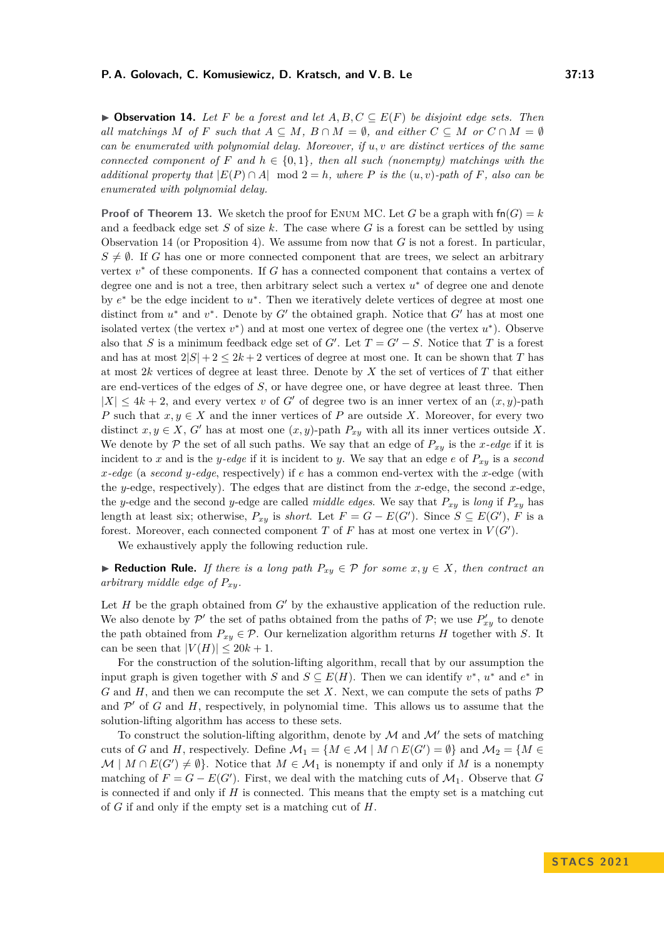▶ **Observation 14.** Let *F* be a forest and let  $A, B, C \subseteq E(F)$  be disjoint edge sets. Then *all matchings*  $M$  *of*  $F$  *such that*  $A \subseteq M$ ,  $B \cap M = \emptyset$ , and either  $C \subseteq M$  *or*  $C \cap M = \emptyset$ *can be enumerated with polynomial delay. Moreover, if u, v are distinct vertices of the same connected component of*  $F$  *and*  $h \in \{0,1\}$ *, then all such (nonempty) matchings with the additional property that*  $|E(P) \cap A|$  mod  $2 = h$ *, where P is the* (*u, v*)*-path of F, also can be enumerated with polynomial delay.*

**Proof of Theorem [13.](#page-11-1)** We sketch the proof for ENUM MC. Let *G* be a graph with  $fn(G) = k$ and a feedback edge set *S* of size *k*. The case where *G* is a forest can be settled by using Observation [14](#page-11-2) (or Proposition [4\)](#page-7-3). We assume from now that *G* is not a forest. In particular,  $S \neq \emptyset$ . If *G* has one or more connected component that are trees, we select an arbitrary vertex  $v^*$  of these components. If *G* has a connected component that contains a vertex of degree one and is not a tree, then arbitrary select such a vertex  $u^*$  of degree one and denote by  $e^*$  be the edge incident to  $u^*$ . Then we iteratively delete vertices of degree at most one distinct from  $u^*$  and  $v^*$ . Denote by  $G'$  the obtained graph. Notice that  $G'$  has at most one isolated vertex (the vertex  $v^*$ ) and at most one vertex of degree one (the vertex  $u^*$ ). Observe also that *S* is a minimum feedback edge set of *G'*. Let  $T = G' - S$ . Notice that *T* is a forest and has at most  $2|S| + 2 \leq 2k + 2$  vertices of degree at most one. It can be shown that *T* has at most 2*k* vertices of degree at least three. Denote by *X* the set of vertices of *T* that either are end-vertices of the edges of *S*, or have degree one, or have degree at least three. Then  $|X| \leq 4k + 2$ , and every vertex *v* of *G'* of degree two is an inner vertex of an  $(x, y)$ -path *P* such that  $x, y \in X$  and the inner vertices of *P* are outside *X*. Moreover, for every two distinct  $x, y \in X$ ,  $G'$  has at most one  $(x, y)$ -path  $P_{xy}$  with all its inner vertices outside X. We denote by  $P$  the set of all such paths. We say that an edge of  $P_{xy}$  is the *x*-edge if it is incident to *x* and is the *y*-edge if it is incident to *y*. We say that an edge  $e$  of  $P_{xy}$  is a *second x-edge* (a *second y-edge*, respectively) if *e* has a common end-vertex with the *x*-edge (with the *y*-edge, respectively). The edges that are distinct from the *x*-edge, the second *x*-edge, the *y*-edge and the second *y*-edge are called *middle edges*. We say that  $P_{xy}$  is *long* if  $P_{xy}$  has length at least six; otherwise,  $P_{xy}$  is *short*. Let  $F = G - E(G')$ . Since  $S \subseteq E(G')$ , F is a forest. Moreover, each connected component  $T$  of  $F$  has at most one vertex in  $V(G')$ .

We exhaustively apply the following reduction rule.

▶ **Reduction Rule.** *If there is a long path*  $P_{xy} \in \mathcal{P}$  *for some x, y*  $\in X$ *, then contract an arbitrary middle edge of Pxy.*

Let *H* be the graph obtained from *G*′ by the exhaustive application of the reduction rule. We also denote by  $\mathcal{P}'$  the set of paths obtained from the paths of  $\mathcal{P}$ ; we use  $P'_{xy}$  to denote the path obtained from  $P_{xy} \in \mathcal{P}$ . Our kernelization algorithm returns *H* together with *S*. It can be seen that  $|V(H)| \leq 20k + 1$ .

For the construction of the solution-lifting algorithm, recall that by our assumption the input graph is given together with *S* and  $S \subseteq E(H)$ . Then we can identify  $v^*$ ,  $u^*$  and  $e^*$  in *G* and *H*, and then we can recompute the set *X*. Next, we can compute the sets of paths  $P$ and  $\mathcal{P}'$  of  $G$  and  $H$ , respectively, in polynomial time. This allows us to assume that the solution-lifting algorithm has access to these sets.

To construct the solution-lifting algorithm, denote by  $\mathcal M$  and  $\mathcal M'$  the sets of matching cuts of *G* and *H*, respectively. Define  $\mathcal{M}_1 = \{ M \in \mathcal{M} \mid M \cap E(G') = \emptyset \}$  and  $\mathcal{M}_2 = \{ M \in$  $\mathcal{M} \mid M \cap E(G') \neq \emptyset$ . Notice that  $M \in \mathcal{M}_1$  is nonempty if and only if M is a nonempty matching of  $F = G - E(G')$ . First, we deal with the matching cuts of  $\mathcal{M}_1$ . Observe that *G* is connected if and only if *H* is connected. This means that the empty set is a matching cut of *G* if and only if the empty set is a matching cut of *H*.

**S TAC S 2 0 2 1**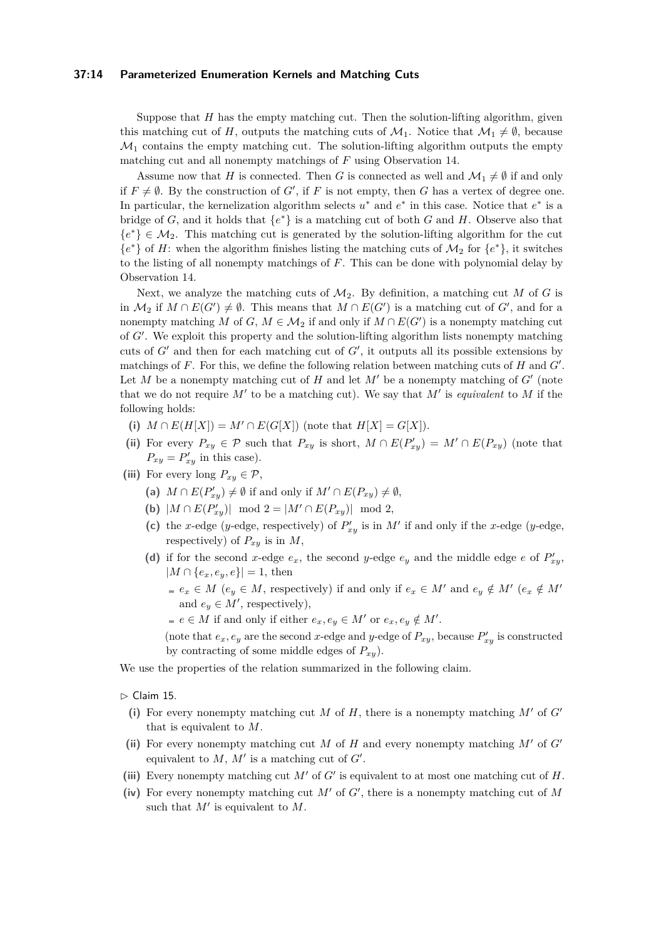#### **37:14 Parameterized Enumeration Kernels and Matching Cuts**

Suppose that *H* has the empty matching cut. Then the solution-lifting algorithm, given this matching cut of *H*, outputs the matching cuts of  $\mathcal{M}_1$ . Notice that  $\mathcal{M}_1 \neq \emptyset$ , because  $\mathcal{M}_1$  contains the empty matching cut. The solution-lifting algorithm outputs the empty matching cut and all nonempty matchings of *F* using Observation [14.](#page-11-2)

Assume now that *H* is connected. Then *G* is connected as well and  $\mathcal{M}_1 \neq \emptyset$  if and only if  $F \neq \emptyset$ . By the construction of *G'*, if *F* is not empty, then *G* has a vertex of degree one. In particular, the kernelization algorithm selects  $u^*$  and  $e^*$  in this case. Notice that  $e^*$  is a bridge of *G*, and it holds that  ${e^*}$  is a matching cut of both *G* and *H*. Observe also that  ${e^*} \in M_2$ . This matching cut is generated by the solution-lifting algorithm for the cut  ${e^*}$  of *H*: when the algorithm finishes listing the matching cuts of  $M_2$  for  ${e^*}$ , it switches to the listing of all nonempty matchings of *F*. This can be done with polynomial delay by Observation [14.](#page-11-2)

Next, we analyze the matching cuts of  $M_2$ . By definition, a matching cut M of G is in  $M_2$  if  $M ∩ E(G') \neq \emptyset$ . This means that  $M ∩ E(G')$  is a matching cut of  $G'$ , and for a nonempty matching *M* of *G*,  $M \in M_2$  if and only if  $M \cap E(G')$  is a nonempty matching cut of *G*′ . We exploit this property and the solution-lifting algorithm lists nonempty matching cuts of *G*′ and then for each matching cut of *G*′ , it outputs all its possible extensions by matchings of *F*. For this, we define the following relation between matching cuts of *H* and *G*′ . Let  $M$  be a nonempty matching cut of  $H$  and let  $M'$  be a nonempty matching of  $G'$  (note that we do not require  $M'$  to be a matching cut). We say that  $M'$  is *equivalent* to  $M$  if the following holds:

- (i)  $M \cap E(H[X]) = M' \cap E(G[X])$  (note that  $H[X] = G[X]$ ).
- (ii) For every  $P_{xy} \in \mathcal{P}$  such that  $P_{xy}$  is short,  $M \cap E(P'_{xy}) = M' \cap E(P_{xy})$  (note that  $P_{xy} = P'_{xy}$  in this case).
- (iii) For every long  $P_{xy} \in \mathcal{P}$ ,
	- (a)  $M \cap E(P'_{xy}) \neq \emptyset$  if and only if  $M' \cap E(P_{xy}) \neq \emptyset$ ,
	- (**b**)  $|M \cap E(P'_{xy})| \mod 2 = |M' \cap E(P_{xy})| \mod 2$ ,
	- (c) the *x*-edge (*y*-edge, respectively) of  $P'_{xy}$  is in  $M'$  if and only if the *x*-edge (*y*-edge, respectively) of  $P_{xy}$  is in  $M$ ,
	- (d) if for the second *x*-edge  $e_x$ , the second *y*-edge  $e_y$  and the middle edge *e* of  $P'_{xy}$ ,  $|M \cap \{e_x, e_y, e\}| = 1$ , then
		- $e_x \in M$  ( $e_y \in M$ , respectively) if and only if  $e_x \in M'$  and  $e_y \notin M'$  ( $e_x \notin M'$ ) and  $e_y \in M'$ , respectively),
		- $e \in M$  if and only if either  $e_x, e_y \in M'$  or  $e_x, e_y \notin M'$ .

(note that  $e_x$ ,  $e_y$  are the second *x*-edge and *y*-edge of  $P_{xy}$ , because  $P'_{xy}$  is constructed by contracting of some middle edges of  $P_{xy}$ ).

<span id="page-13-0"></span>We use the properties of the relation summarized in the following claim.

- $\triangleright$  Claim 15.
	- **(i)** For every nonempty matching cut *M* of *H*, there is a nonempty matching *M*′ of *G*′ that is equivalent to *M*.
- **(ii)** For every nonempty matching cut *M* of *H* and every nonempty matching *M*′ of *G*′ equivalent to  $M$ ,  $M'$  is a matching cut of  $G'$ .
- **(iii)** Every nonempty matching cut *M*′ of *G*′ is equivalent to at most one matching cut of *H*.
- **(iv)** For every nonempty matching cut *M*′ of *G*′ , there is a nonempty matching cut of *M* such that *M*′ is equivalent to *M*.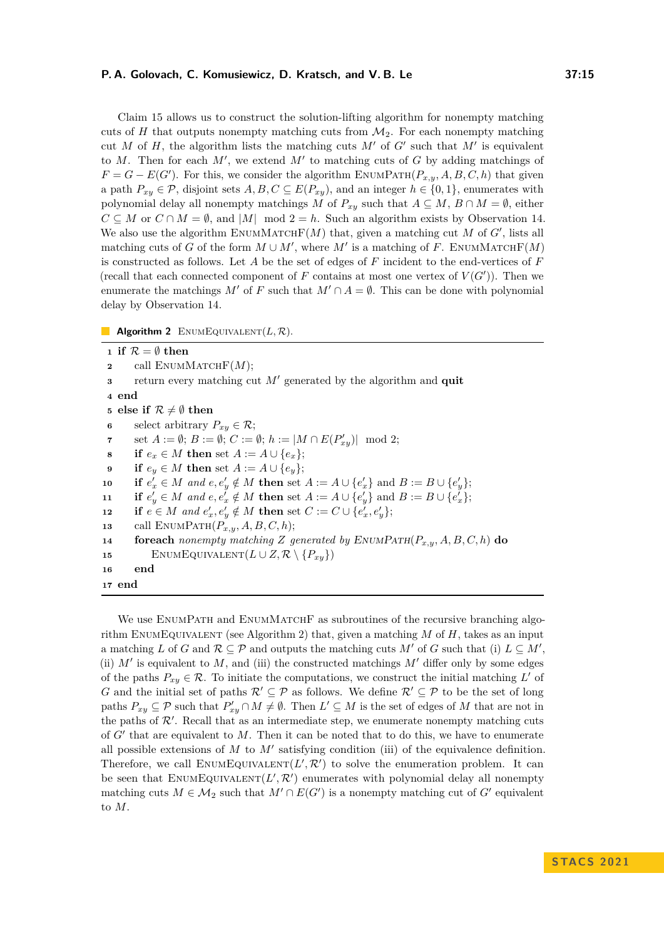#### **P. A. Golovach, C. Komusiewicz, D. Kratsch, and V. B. Le 37:15**

Claim [15](#page-13-0) allows us to construct the solution-lifting algorithm for nonempty matching cuts of  $H$  that outputs nonempty matching cuts from  $\mathcal{M}_2$ . For each nonempty matching cut *M* of *H*, the algorithm lists the matching cuts  $M'$  of  $G'$  such that  $M'$  is equivalent to  $M$ . Then for each  $M'$ , we extend  $M'$  to matching cuts of  $G$  by adding matchings of  $F = G - E(G')$ . For this, we consider the algorithm ENUMPATH( $P_{x,y}$ *, A, B, C, h*) that given a path  $P_{xy} \in \mathcal{P}$ , disjoint sets  $A, B, C \subseteq E(P_{xy})$ , and an integer  $h \in \{0, 1\}$ , enumerates with polynomial delay all nonempty matchings *M* of  $P_{xy}$  such that  $A \subseteq M$ ,  $B \cap M = \emptyset$ , either  $C \subseteq M$  or  $C \cap M = \emptyset$ , and  $|M|$  mod  $2 = h$ . Such an algorithm exists by Observation [14.](#page-11-2) We also use the algorithm  $\text{EWMMATCHF}(M)$  that, given a matching cut M of  $G'$ , lists all matching cuts of *G* of the form  $M \cup M'$ , where  $M'$  is a matching of *F*. ENUMMATCHF(*M*) is constructed as follows. Let *A* be the set of edges of *F* incident to the end-vertices of *F* (recall that each connected component of  $F$  contains at most one vertex of  $V(G')$ ). Then we enumerate the matchings *M'* of *F* such that  $M' \cap A = \emptyset$ . This can be done with polynomial delay by Observation [14.](#page-11-2)

**Algorithm 2** ENUMEQUIVALENT $(L, \mathcal{R})$ .

<span id="page-14-0"></span> **if**  $\mathcal{R} = \emptyset$  **then**  call  $ENUMMATEHF(M)$ ; return every matching cut *M*′ generated by the algorithm and **quit <sup>4</sup> end else if**  $\mathcal{R} \neq \emptyset$  **then**  select arbitrary  $P_{xy} \in \mathcal{R}$ ; set  $A := \emptyset$ ;  $B := \emptyset$ ;  $C := \emptyset$ ;  $h := |M \cap E(P'_{xy})| \mod 2$ ; **if**  $e_x \in M$  **then** set  $A := A \cup \{e_x\};$  **if**  $e_y \in M$  **then** set  $A := A \cup \{e_y\};$  **if**  $e'_x \in M$  *and*  $e, e'_y \notin M$  **then** set  $A := A \cup \{e'_x\}$  and  $B := B \cup \{e'_y\};$  **if**  $e'_y \in M$  *and*  $e, e'_x \notin M$  **then** set  $A := A \cup \{e'_y\}$  and  $B := B \cup \{e'_x\};$  **if**  $e \in M$  *and*  $e'_x, e'_y \notin M$  **then** set  $C := C \cup \{e'_x, e'_y\};$  call EnumPath(*Px,y, A, B, C, h*); **foreach** *nonempty matching Z* generated by ENUMPATH( $P_{x,y}$ ,  $A, B, C, h$ ) **do** 15 ENUMEQUIVALENT $(L \cup Z, \mathcal{R} \setminus \{P_{xy}\})$ **<sup>16</sup> end <sup>17</sup> end**

We use ENUMPATH and ENUMMATCHF as subroutines of the recursive branching algo-rithm ENUMEQUIVALENT (see Algorithm [2\)](#page-14-0) that, given a matching  $M$  of  $H$ , takes as an input a matching *L* of *G* and  $\mathcal{R} \subseteq \mathcal{P}$  and outputs the matching cuts *M'* of *G* such that (i)  $L \subseteq M'$ , (ii)  $M'$  is equivalent to  $M$ , and (iii) the constructed matchings  $M'$  differ only by some edges of the paths  $P_{xy} \in \mathcal{R}$ . To initiate the computations, we construct the initial matching  $L'$  of *G* and the initial set of paths  $\mathcal{R}' \subseteq \mathcal{P}$  as follows. We define  $\mathcal{R}' \subseteq \mathcal{P}$  to be the set of long paths  $P_{xy} \subseteq \mathcal{P}$  such that  $P'_{xy} \cap M \neq \emptyset$ . Then  $L' \subseteq M$  is the set of edges of M that are not in the paths of  $\mathcal{R}'$ . Recall that as an intermediate step, we enumerate nonempty matching cuts of *G*′ that are equivalent to *M*. Then it can be noted that to do this, we have to enumerate all possible extensions of  $M$  to  $M'$  satisfying condition (iii) of the equivalence definition. Therefore, we call  $\text{EnumEQUIVALENT}(L', \mathcal{R}')$  to solve the enumeration problem. It can be seen that  $\text{EnumEQUIVALENT}(L', \mathcal{R}')$  enumerates with polynomial delay all nonempty matching cuts  $M \in \mathcal{M}_2$  such that  $M' \cap E(G')$  is a nonempty matching cut of  $G'$  equivalent to *M*.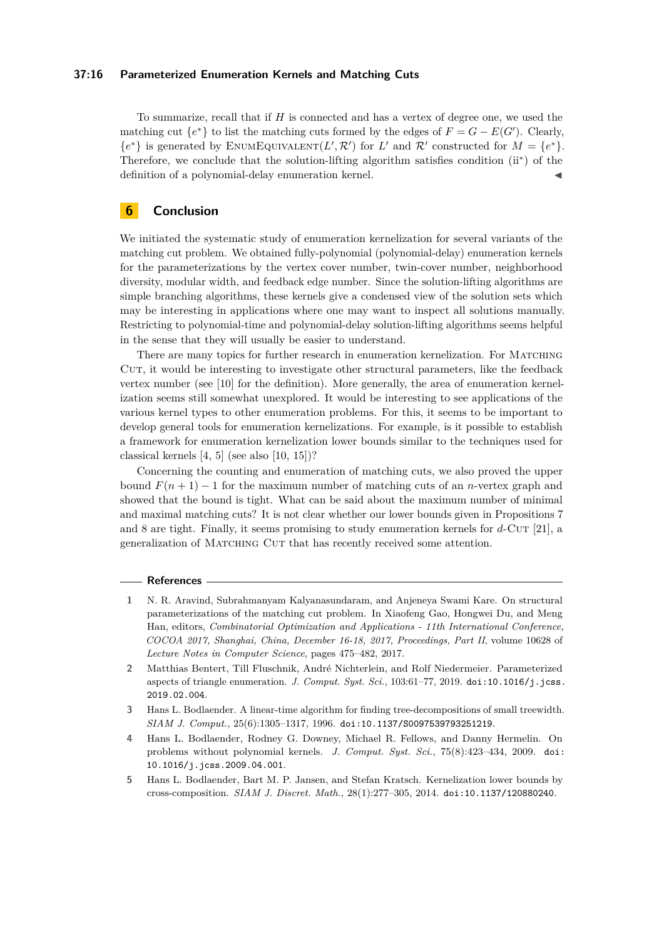#### **37:16 Parameterized Enumeration Kernels and Matching Cuts**

To summarize, recall that if *H* is connected and has a vertex of degree one, we used the matching cut  ${e^*}$  to list the matching cuts formed by the edges of  $F = G - E(G')$ . Clearly,  ${e^*}$  is generated by ENUMEQUIVALENT $(L', \mathcal{R}')$  for  $L'$  and  $\mathcal{R}'$  constructed for  $M = {e^*}$ . Therefore, we conclude that the solution-lifting algorithm satisfies condition (ii<sup>∗</sup> ) of the definition of a polynomial-delay enumeration kernel.

## **6 Conclusion**

We initiated the systematic study of enumeration kernelization for several variants of the matching cut problem. We obtained fully-polynomial (polynomial-delay) enumeration kernels for the parameterizations by the vertex cover number, twin-cover number, neighborhood diversity, modular width, and feedback edge number. Since the solution-lifting algorithms are simple branching algorithms, these kernels give a condensed view of the solution sets which may be interesting in applications where one may want to inspect all solutions manually. Restricting to polynomial-time and polynomial-delay solution-lifting algorithms seems helpful in the sense that they will usually be easier to understand.

There are many topics for further research in enumeration kernelization. For MATCHING CUT, it would be interesting to investigate other structural parameters, like the feedback vertex number (see [\[10\]](#page-16-4) for the definition). More generally, the area of enumeration kernelization seems still somewhat unexplored. It would be interesting to see applications of the various kernel types to other enumeration problems. For this, it seems to be important to develop general tools for enumeration kernelizations. For example, is it possible to establish a framework for enumeration kernelization lower bounds similar to the techniques used for classical kernels [\[4,](#page-15-3) [5\]](#page-15-4) (see also [\[10,](#page-16-4) [15\]](#page-16-5))?

Concerning the counting and enumeration of matching cuts, we also proved the upper bound  $F(n+1) - 1$  for the maximum number of matching cuts of an *n*-vertex graph and showed that the bound is tight. What can be said about the maximum number of minimal and maximal matching cuts? It is not clear whether our lower bounds given in Propositions [7](#page-7-4) and [8](#page-8-0) are tight. Finally, it seems promising to study enumeration kernels for d-CUT [\[21\]](#page-16-10), a generalization of Matching Cut that has recently received some attention.

#### **References**

- <span id="page-15-0"></span>**1** N. R. Aravind, Subrahmanyam Kalyanasundaram, and Anjeneya Swami Kare. On structural parameterizations of the matching cut problem. In Xiaofeng Gao, Hongwei Du, and Meng Han, editors, *Combinatorial Optimization and Applications - 11th International Conference, COCOA 2017, Shanghai, China, December 16-18, 2017, Proceedings, Part II*, volume 10628 of *Lecture Notes in Computer Science*, pages 475–482, 2017.
- <span id="page-15-1"></span>**2** Matthias Bentert, Till Fluschnik, André Nichterlein, and Rolf Niedermeier. Parameterized aspects of triangle enumeration. *J. Comput. Syst. Sci.*, 103:61-77, 2019. [doi:10.1016/j.jcss.](https://doi.org/10.1016/j.jcss.2019.02.004) [2019.02.004](https://doi.org/10.1016/j.jcss.2019.02.004).
- <span id="page-15-2"></span>**3** Hans L. Bodlaender. A linear-time algorithm for finding tree-decompositions of small treewidth. *SIAM J. Comput.*, 25(6):1305–1317, 1996. [doi:10.1137/S0097539793251219](https://doi.org/10.1137/S0097539793251219).
- <span id="page-15-3"></span>**4** Hans L. Bodlaender, Rodney G. Downey, Michael R. Fellows, and Danny Hermelin. On problems without polynomial kernels. *J. Comput. Syst. Sci.*, 75(8):423–434, 2009. [doi:](https://doi.org/10.1016/j.jcss.2009.04.001) [10.1016/j.jcss.2009.04.001](https://doi.org/10.1016/j.jcss.2009.04.001).
- <span id="page-15-4"></span>**5** Hans L. Bodlaender, Bart M. P. Jansen, and Stefan Kratsch. Kernelization lower bounds by cross-composition. *SIAM J. Discret. Math.*, 28(1):277–305, 2014. [doi:10.1137/120880240](https://doi.org/10.1137/120880240).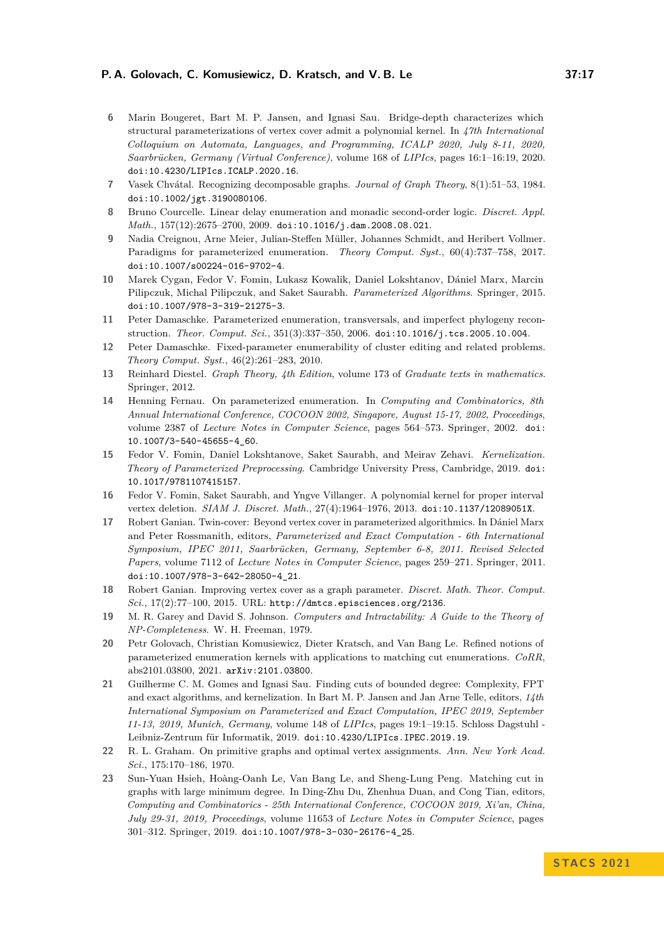#### **P. A. Golovach, C. Komusiewicz, D. Kratsch, and V. B. Le 37:17**

- <span id="page-16-14"></span>**6** Marin Bougeret, Bart M. P. Jansen, and Ignasi Sau. Bridge-depth characterizes which structural parameterizations of vertex cover admit a polynomial kernel. In *47th International Colloquium on Automata, Languages, and Programming, ICALP 2020, July 8-11, 2020, Saarbrücken, Germany (Virtual Conference)*, volume 168 of *LIPIcs*, pages 16:1–16:19, 2020. [doi:10.4230/LIPIcs.ICALP.2020.16](https://doi.org/10.4230/LIPIcs.ICALP.2020.16).
- <span id="page-16-7"></span>**7** Vasek Chvátal. Recognizing decomposable graphs. *Journal of Graph Theory*, 8(1):51–53, 1984. [doi:10.1002/jgt.3190080106](https://doi.org/10.1002/jgt.3190080106).
- <span id="page-16-13"></span>**8** Bruno Courcelle. Linear delay enumeration and monadic second-order logic. *Discret. Appl. Math.*, 157(12):2675–2700, 2009. [doi:10.1016/j.dam.2008.08.021](https://doi.org/10.1016/j.dam.2008.08.021).
- <span id="page-16-0"></span>**9** Nadia Creignou, Arne Meier, Julian-Steffen Müller, Johannes Schmidt, and Heribert Vollmer. Paradigms for parameterized enumeration. *Theory Comput. Syst.*, 60(4):737–758, 2017. [doi:10.1007/s00224-016-9702-4](https://doi.org/10.1007/s00224-016-9702-4).
- <span id="page-16-4"></span>**10** Marek Cygan, Fedor V. Fomin, Lukasz Kowalik, Daniel Lokshtanov, Dániel Marx, Marcin Pilipczuk, Michal Pilipczuk, and Saket Saurabh. *Parameterized Algorithms*. Springer, 2015. [doi:10.1007/978-3-319-21275-3](https://doi.org/10.1007/978-3-319-21275-3).
- <span id="page-16-1"></span>**11** Peter Damaschke. Parameterized enumeration, transversals, and imperfect phylogeny reconstruction. *Theor. Comput. Sci.*, 351(3):337–350, 2006. [doi:10.1016/j.tcs.2005.10.004](https://doi.org/10.1016/j.tcs.2005.10.004).
- <span id="page-16-2"></span>**12** Peter Damaschke. Fixed-parameter enumerability of cluster editing and related problems. *Theory Comput. Syst.*, 46(2):261–283, 2010.
- <span id="page-16-11"></span>**13** Reinhard Diestel. *Graph Theory, 4th Edition*, volume 173 of *Graduate texts in mathematics*. Springer, 2012.
- <span id="page-16-3"></span>**14** Henning Fernau. On parameterized enumeration. In *Computing and Combinatorics, 8th Annual International Conference, COCOON 2002, Singapore, August 15-17, 2002, Proceedings*, volume 2387 of *Lecture Notes in Computer Science*, pages 564–573. Springer, 2002. [doi:](https://doi.org/10.1007/3-540-45655-4_60) [10.1007/3-540-45655-4\\_60](https://doi.org/10.1007/3-540-45655-4_60).
- <span id="page-16-5"></span>**15** Fedor V. Fomin, Daniel Lokshtanove, Saket Saurabh, and Meirav Zehavi. *Kernelization. Theory of Parameterized Preprocessing*. Cambridge University Press, Cambridge, 2019. [doi:](https://doi.org/10.1017/9781107415157) [10.1017/9781107415157](https://doi.org/10.1017/9781107415157).
- <span id="page-16-6"></span>**16** Fedor V. Fomin, Saket Saurabh, and Yngve Villanger. A polynomial kernel for proper interval vertex deletion. *SIAM J. Discret. Math.*, 27(4):1964–1976, 2013. [doi:10.1137/12089051X](https://doi.org/10.1137/12089051X).
- <span id="page-16-16"></span>**17** Robert Ganian. Twin-cover: Beyond vertex cover in parameterized algorithmics. In Dániel Marx and Peter Rossmanith, editors, *Parameterized and Exact Computation - 6th International Symposium, IPEC 2011, Saarbrücken, Germany, September 6-8, 2011. Revised Selected Papers*, volume 7112 of *Lecture Notes in Computer Science*, pages 259–271. Springer, 2011. [doi:10.1007/978-3-642-28050-4\\_21](https://doi.org/10.1007/978-3-642-28050-4_21).
- <span id="page-16-17"></span>**18** Robert Ganian. Improving vertex cover as a graph parameter. *Discret. Math. Theor. Comput. Sci.*, 17(2):77–100, 2015. URL: <http://dmtcs.episciences.org/2136>.
- <span id="page-16-15"></span>**19** M. R. Garey and David S. Johnson. *Computers and Intractability: A Guide to the Theory of NP-Completeness*. W. H. Freeman, 1979.
- <span id="page-16-8"></span>**20** Petr Golovach, Christian Komusiewicz, Dieter Kratsch, and Van Bang Le. Refined notions of parameterized enumeration kernels with applications to matching cut enumerations. *CoRR*, abs2101.03800, 2021. [arXiv:2101.03800](http://arxiv.org/abs/2101.03800).
- <span id="page-16-10"></span>**21** Guilherme C. M. Gomes and Ignasi Sau. Finding cuts of bounded degree: Complexity, FPT and exact algorithms, and kernelization. In Bart M. P. Jansen and Jan Arne Telle, editors, *14th International Symposium on Parameterized and Exact Computation, IPEC 2019, September 11-13, 2019, Munich, Germany*, volume 148 of *LIPIcs*, pages 19:1–19:15. Schloss Dagstuhl - Leibniz-Zentrum für Informatik, 2019. [doi:10.4230/LIPIcs.IPEC.2019.19](https://doi.org/10.4230/LIPIcs.IPEC.2019.19).
- <span id="page-16-12"></span>**22** R. L. Graham. On primitive graphs and optimal vertex assignments. *Ann. New York Acad. Sci.*, 175:170–186, 1970.
- <span id="page-16-9"></span>**23** Sun-Yuan Hsieh, Hoàng-Oanh Le, Van Bang Le, and Sheng-Lung Peng. Matching cut in graphs with large minimum degree. In Ding-Zhu Du, Zhenhua Duan, and Cong Tian, editors, *Computing and Combinatorics - 25th International Conference, COCOON 2019, Xi'an, China, July 29-31, 2019, Proceedings*, volume 11653 of *Lecture Notes in Computer Science*, pages 301–312. Springer, 2019. [doi:10.1007/978-3-030-26176-4\\_25](https://doi.org/10.1007/978-3-030-26176-4_25).